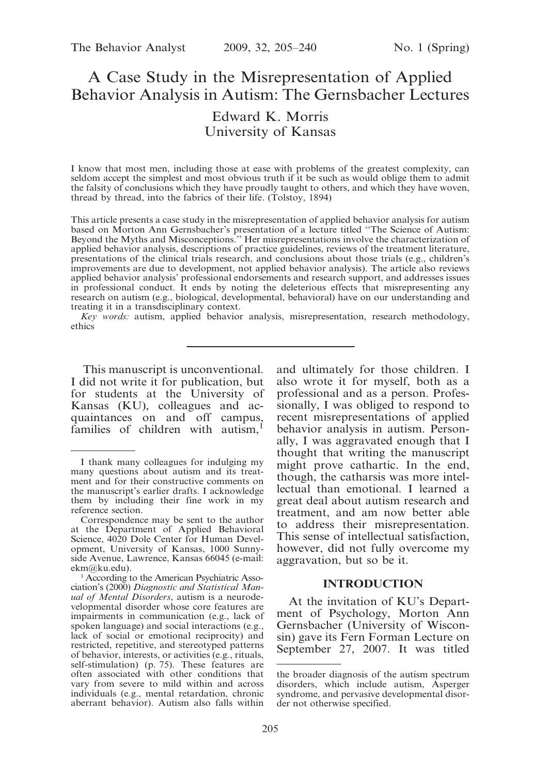# A Case Study in the Misrepresentation of Applied Behavior Analysis in Autism: The Gernsbacher Lectures

# Edward K. Morris University of Kansas

I know that most men, including those at ease with problems of the greatest complexity, can seldom accept the simplest and most obvious truth if it be such as would oblige them to admit the falsity of conclusions which they have proudly taught to others, and which they have woven, thread by thread, into the fabrics of their life. (Tolstoy, 1894)

This article presents a case study in the misrepresentation of applied behavior analysis for autism based on Morton Ann Gernsbacher's presentation of a lecture titled ''The Science of Autism: Beyond the Myths and Misconceptions.'' Her misrepresentations involve the characterization of applied behavior analysis, descriptions of practice guidelines, reviews of the treatment literature, presentations of the clinical trials research, and conclusions about those trials (e.g., children's improvements are due to development, not applied behavior analysis). The article also reviews applied behavior analysis' professional endorsements and research support, and addresses issues in professional conduct. It ends by noting the deleterious effects that misrepresenting any research on autism (e.g., biological, developmental, behavioral) have on our understanding and treating it in a transdisciplinary context.

Key words: autism, applied behavior analysis, misrepresentation, research methodology, ethics

This manuscript is unconventional. I did not write it for publication, but for students at the University of Kansas (KU), colleagues and acquaintances on and off campus, families of children with autism, $\frac{1}{1}$ 

and ultimately for those children. I also wrote it for myself, both as a professional and as a person. Professionally, I was obliged to respond to recent misrepresentations of applied behavior analysis in autism. Personally, I was aggravated enough that I thought that writing the manuscript might prove cathartic. In the end, though, the catharsis was more intellectual than emotional. I learned a great deal about autism research and treatment, and am now better able to address their misrepresentation. This sense of intellectual satisfaction, however, did not fully overcome my aggravation, but so be it.

### INTRODUCTION

At the invitation of KU's Department of Psychology, Morton Ann Gernsbacher (University of Wisconsin) gave its Fern Forman Lecture on September 27, 2007. It was titled

I thank many colleagues for indulging my many questions about autism and its treatment and for their constructive comments on the manuscript's earlier drafts. I acknowledge them by including their fine work in my reference section.

Correspondence may be sent to the author at the Department of Applied Behavioral Science, 4020 Dole Center for Human Development, University of Kansas, 1000 Sunnyside Avenue, Lawrence, Kansas 66045 (e-mail: ekm@ku.edu).

<sup>&</sup>lt;sup>1</sup> According to the American Psychiatric Association's (2000) Diagnostic and Statistical Manual of Mental Disorders, autism is a neurodevelopmental disorder whose core features are impairments in communication (e.g., lack of spoken language) and social interactions (e.g., lack of social or emotional reciprocity) and restricted, repetitive, and stereotyped patterns of behavior, interests, or activities (e.g., rituals, self-stimulation) (p. 75). These features are often associated with other conditions that vary from severe to mild within and across individuals (e.g., mental retardation, chronic aberrant behavior). Autism also falls within

the broader diagnosis of the autism spectrum disorders, which include autism, Asperger syndrome, and pervasive developmental disorder not otherwise specified.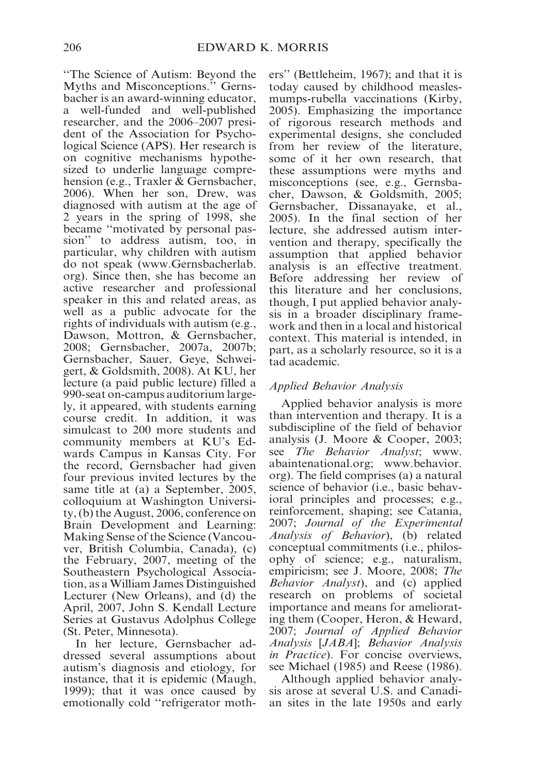''The Science of Autism: Beyond the Myths and Misconceptions.'' Gernsbacher is an award-winning educator, well-funded and well-published researcher, and the 2006–2007 president of the Association for Psychological Science (APS). Her research is on cognitive mechanisms hypothesized to underlie language comprehension (e.g., Traxler & Gernsbacher, 2006). When her son, Drew, was diagnosed with autism at the age of 2 years in the spring of 1998, she became ''motivated by personal passion'' to address autism, too, in particular, why children with autism do not speak (www.Gernsbacherlab. org). Since then, she has become an active researcher and professional speaker in this and related areas, as well as a public advocate for the rights of individuals with autism (e.g., Dawson, Mottron, & Gernsbacher, 2008; Gernsbacher, 2007a, 2007b; Gernsbacher, Sauer, Geye, Schweigert, & Goldsmith, 2008). At KU, her lecture (a paid public lecture) filled a 990-seat on-campus auditorium largely, it appeared, with students earning course credit. In addition, it was simulcast to 200 more students and community members at KU's Edwards Campus in Kansas City. For the record, Gernsbacher had given four previous invited lectures by the same title at (a) a September, 2005, colloquium at Washington University, (b) the August, 2006, conference on Brain Development and Learning: Making Sense of the Science (Vancouver, British Columbia, Canada), (c) the February, 2007, meeting of the Southeastern Psychological Association, as a William James Distinguished Lecturer (New Orleans), and (d) the April, 2007, John S. Kendall Lecture Series at Gustavus Adolphus College (St. Peter, Minnesota).

In her lecture, Gernsbacher addressed several assumptions about autism's diagnosis and etiology, for instance, that it is epidemic (Maugh, 1999); that it was once caused by emotionally cold ''refrigerator mothers'' (Bettleheim, 1967); and that it is today caused by childhood measlesmumps-rubella vaccinations (Kirby, 2005). Emphasizing the importance of rigorous research methods and experimental designs, she concluded from her review of the literature, some of it her own research, that these assumptions were myths and misconceptions (see, e.g., Gernsbacher, Dawson, & Goldsmith, 2005; Gernsbacher, Dissanayake, et al., 2005). In the final section of her lecture, she addressed autism intervention and therapy, specifically the assumption that applied behavior analysis is an effective treatment. Before addressing her review of this literature and her conclusions, though, I put applied behavior analysis in a broader disciplinary framework and then in a local and historical context. This material is intended, in part, as a scholarly resource, so it is a tad academic.

### Applied Behavior Analysis

Applied behavior analysis is more than intervention and therapy. It is a subdiscipline of the field of behavior analysis (J. Moore & Cooper, 2003; see The Behavior Analyst; www. abaintenational.org; www.behavior. org). The field comprises (a) a natural science of behavior (i.e., basic behavioral principles and processes; e.g., reinforcement, shaping; see Catania, 2007; Journal of the Experimental Analysis of Behavior), (b) related conceptual commitments (i.e., philosophy of science; e.g., naturalism, empiricism; see J. Moore, 2008; The Behavior Analyst), and (c) applied research on problems of societal importance and means for ameliorating them (Cooper, Heron, & Heward, 2007; Journal of Applied Behavior Analysis [JABA]; Behavior Analysis in Practice). For concise overviews, see Michael (1985) and Reese (1986).

Although applied behavior analysis arose at several U.S. and Canadian sites in the late 1950s and early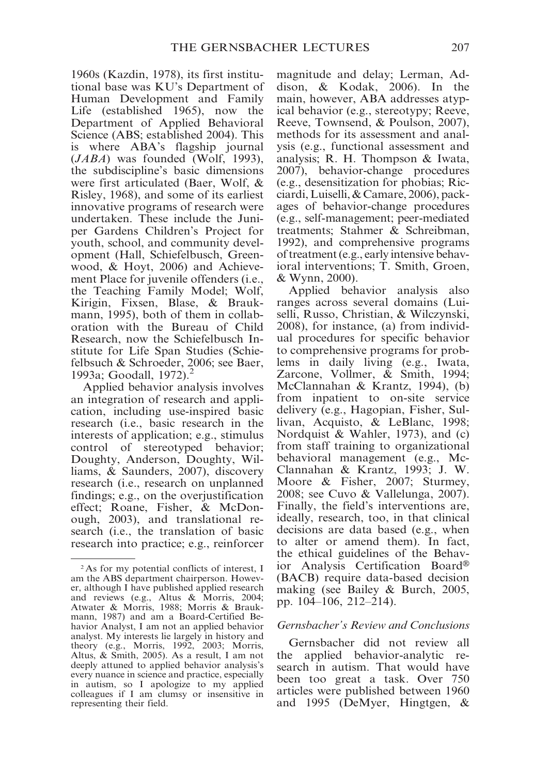1960s (Kazdin, 1978), its first institutional base was KU's Department of Human Development and Family Life (established 1965), now the Department of Applied Behavioral Science (ABS; established 2004). This is where ABA's flagship journal  $(JABA)$  was founded (Wolf, 1993), the subdiscipline's basic dimensions were first articulated (Baer, Wolf, & Risley, 1968), and some of its earliest innovative programs of research were undertaken. These include the Juniper Gardens Children's Project for youth, school, and community development (Hall, Schiefelbusch, Greenwood, & Hoyt, 2006) and Achievement Place for juvenile offenders (i.e., the Teaching Family Model; Wolf, Kirigin, Fixsen, Blase, & Braukmann, 1995), both of them in collaboration with the Bureau of Child Research, now the Schiefelbusch Institute for Life Span Studies (Schiefelbsuch & Schroeder, 2006; see Baer, 1993a; Goodall, 1972).<sup>2</sup>

Applied behavior analysis involves an integration of research and application, including use-inspired basic research (i.e., basic research in the interests of application; e.g., stimulus control of stereotyped behavior; Doughty, Anderson, Doughty, Williams, & Saunders, 2007), discovery research (i.e., research on unplanned findings; e.g., on the overjustification effect; Roane, Fisher, & McDonough, 2003), and translational research (i.e., the translation of basic research into practice; e.g., reinforcer magnitude and delay; Lerman, Addison, & Kodak, 2006). In the main, however, ABA addresses atypical behavior (e.g., stereotypy; Reeve, Reeve, Townsend, & Poulson, 2007), methods for its assessment and analysis (e.g., functional assessment and analysis; R. H. Thompson & Iwata, 2007), behavior-change procedures (e.g., desensitization for phobias; Ricciardi, Luiselli, & Camare, 2006), packages of behavior-change procedures (e.g., self-management; peer-mediated treatments; Stahmer & Schreibman, 1992), and comprehensive programs of treatment (e.g., early intensive behavioral interventions; T. Smith, Groen, & Wynn, 2000).

Applied behavior analysis also ranges across several domains (Luiselli, Russo, Christian, & Wilczynski, 2008), for instance, (a) from individual procedures for specific behavior to comprehensive programs for problems in daily living (e.g., Iwata, Zarcone, Vollmer, & Smith, 1994; McClannahan & Krantz, 1994), (b) from inpatient to on-site service delivery (e.g., Hagopian, Fisher, Sullivan, Acquisto, & LeBlanc, 1998; Nordquist & Wahler, 1973), and (c) from staff training to organizational behavioral management (e.g., Mc-Clannahan & Krantz, 1993; J. W. Moore & Fisher, 2007; Sturmey, 2008; see Cuvo & Vallelunga, 2007). Finally, the field's interventions are, ideally, research, too, in that clinical decisions are data based (e.g., when to alter or amend them). In fact, the ethical guidelines of the Behavior Analysis Certification Board<sup>®</sup> (BACB) require data-based decision making (see Bailey & Burch, 2005, pp. 104–106, 212–214).

### Gernsbacher's Review and Conclusions

Gernsbacher did not review all the applied behavior-analytic research in autism. That would have been too great a task. Over 750 articles were published between 1960 and 1995 (DeMyer, Hingtgen, &

<sup>2</sup>As for my potential conflicts of interest, I am the ABS department chairperson. However, although I have published applied research and reviews (e.g., Altus & Morris, 2004; Atwater & Morris, 1988; Morris & Braukmann, 1987) and am a Board-Certified Behavior Analyst, I am not an applied behavior analyst. My interests lie largely in history and theory (e.g., Morris, 1992, 2003; Morris, Altus, & Smith, 2005). As a result, I am not deeply attuned to applied behavior analysis's every nuance in science and practice, especially in autism, so I apologize to my applied colleagues if I am clumsy or insensitive in representing their field.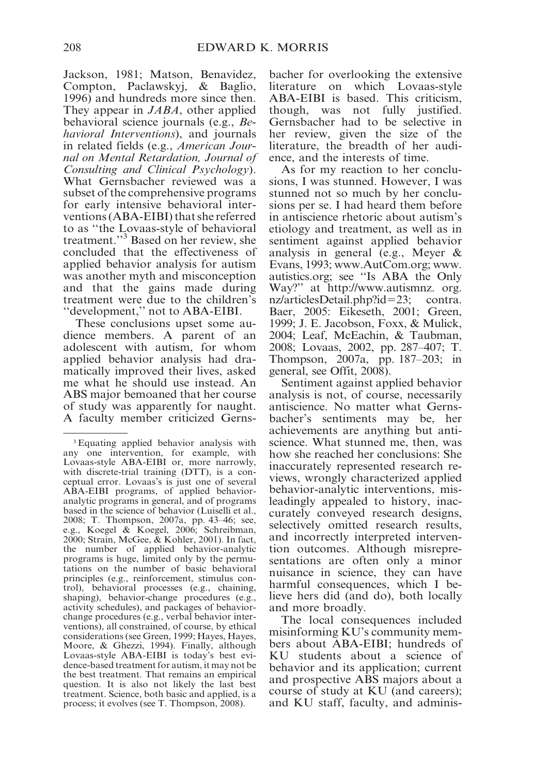Jackson, 1981; Matson, Benavidez, Compton, Paclawskyj, & Baglio, 1996) and hundreds more since then. They appear in *JABA*, other applied behavioral science journals (e.g., Behavioral Interventions), and journals in related fields (e.g., American Journal on Mental Retardation, Journal of Consulting and Clinical Psychology). What Gernsbacher reviewed was a subset of the comprehensive programs for early intensive behavioral interventions (ABA-EIBI) that she referred to as ''the Lovaas-style of behavioral treatment."<sup>3</sup> Based on her review, she concluded that the effectiveness of applied behavior analysis for autism was another myth and misconception and that the gains made during treatment were due to the children's ''development,'' not to ABA-EIBI.

These conclusions upset some audience members. A parent of an adolescent with autism, for whom applied behavior analysis had dramatically improved their lives, asked me what he should use instead. An ABS major bemoaned that her course of study was apparently for naught. A faculty member criticized Gerns-

bacher for overlooking the extensive literature on which Lovaas-style ABA-EIBI is based. This criticism, though, was not fully justified. Gernsbacher had to be selective in her review, given the size of the literature, the breadth of her audience, and the interests of time.

As for my reaction to her conclusions, I was stunned. However, I was stunned not so much by her conclusions per se. I had heard them before in antiscience rhetoric about autism's etiology and treatment, as well as in sentiment against applied behavior analysis in general (e.g., Meyer & Evans, 1993; www.AutCom.org; www. autistics.org; see ''Is ABA the Only Way?'' at http://www.autismnz. org.  $nz/articlesDetail.php?id=23;$  contra. Baer, 2005: Eikeseth, 2001; Green, 1999; J. E. Jacobson, Foxx, & Mulick, 2004; Leaf, McEachin, & Taubman, 2008; Lovaas, 2002, pp. 287–407; T. Thompson, 2007a, pp. 187–203; in general, see Offit, 2008).

Sentiment against applied behavior analysis is not, of course, necessarily antiscience. No matter what Gernsbacher's sentiments may be, her achievements are anything but antiscience. What stunned me, then, was how she reached her conclusions: She inaccurately represented research reviews, wrongly characterized applied behavior-analytic interventions, misleadingly appealed to history, inaccurately conveyed research designs, selectively omitted research results, and incorrectly interpreted intervention outcomes. Although misrepresentations are often only a minor nuisance in science, they can have harmful consequences, which I believe hers did (and do), both locally and more broadly.

The local consequences included misinforming KU's community members about ABA-EIBI; hundreds of KU students about a science of behavior and its application; current and prospective ABS majors about a course of study at KU (and careers); and KU staff, faculty, and adminis-

<sup>3</sup>Equating applied behavior analysis with any one intervention, for example, with Lovaas-style ABA-EIBI or, more narrowly, with discrete-trial training (DTT), is a conceptual error. Lovaas's is just one of several ABA-EIBI programs, of applied behavioranalytic programs in general, and of programs based in the science of behavior (Luiselli et al., 2008; T. Thompson, 2007a, pp. 43–46; see, e.g., Koegel & Koegel, 2006; Schreibman, 2000; Strain, McGee, & Kohler, 2001). In fact, the number of applied behavior-analytic programs is huge, limited only by the permutations on the number of basic behavioral principles (e.g., reinforcement, stimulus control), behavioral processes (e.g., chaining, shaping), behavior-change procedures (e.g., activity schedules), and packages of behaviorchange procedures (e.g., verbal behavior interventions), all constrained, of course, by ethical considerations (see Green, 1999; Hayes, Hayes, Moore, & Ghezzi, 1994). Finally, although Lovaas-style ABA-EIBI is today's best evidence-based treatment for autism, it may not be the best treatment. That remains an empirical question. It is also not likely the last best treatment. Science, both basic and applied, is a process; it evolves (see T. Thompson, 2008).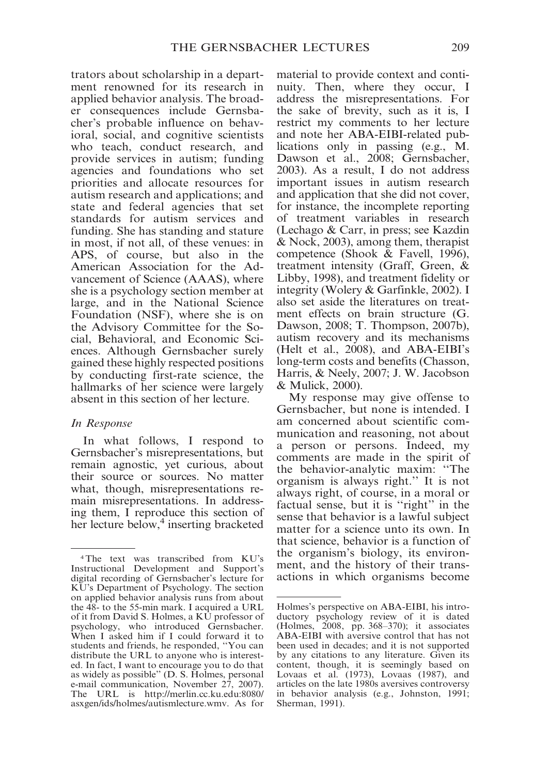trators about scholarship in a department renowned for its research in applied behavior analysis. The broader consequences include Gernsbacher's probable influence on behavioral, social, and cognitive scientists who teach, conduct research, and provide services in autism; funding agencies and foundations who set priorities and allocate resources for autism research and applications; and state and federal agencies that set standards for autism services and funding. She has standing and stature in most, if not all, of these venues: in APS, of course, but also in the American Association for the Advancement of Science (AAAS), where she is a psychology section member at large, and in the National Science Foundation (NSF), where she is on the Advisory Committee for the Social, Behavioral, and Economic Sciences. Although Gernsbacher surely gained these highly respected positions by conducting first-rate science, the hallmarks of her science were largely absent in this section of her lecture.

#### In Response

In what follows, I respond to Gernsbacher's misrepresentations, but remain agnostic, yet curious, about their source or sources. No matter what, though, misrepresentations remain misrepresentations. In addressing them, I reproduce this section of her lecture below,<sup>4</sup> inserting bracketed

material to provide context and continuity. Then, where they occur, I address the misrepresentations. For the sake of brevity, such as it is, I restrict my comments to her lecture and note her ABA-EIBI-related publications only in passing (e.g., M. Dawson et al., 2008; Gernsbacher, 2003). As a result, I do not address important issues in autism research and application that she did not cover, for instance, the incomplete reporting of treatment variables in research (Lechago & Carr, in press; see Kazdin & Nock, 2003), among them, therapist competence (Shook  $\&$  Favell, 1996), treatment intensity (Graff, Green, & Libby, 1998), and treatment fidelity or integrity (Wolery & Garfinkle, 2002). I also set aside the literatures on treatment effects on brain structure (G. Dawson, 2008; T. Thompson, 2007b), autism recovery and its mechanisms (Helt et al., 2008), and ABA-EIBI's long-term costs and benefits (Chasson, Harris, & Neely, 2007; J. W. Jacobson & Mulick, 2000).

My response may give offense to Gernsbacher, but none is intended. I am concerned about scientific communication and reasoning, not about a person or persons. Indeed, my comments are made in the spirit of the behavior-analytic maxim: ''The organism is always right.'' It is not always right, of course, in a moral or factual sense, but it is "right" in the sense that behavior is a lawful subject matter for a science unto its own. In that science, behavior is a function of the organism's biology, its environment, and the history of their transactions in which organisms become

<sup>4</sup>The text was transcribed from KU's Instructional Development and Support's digital recording of Gernsbacher's lecture for KU's Department of Psychology. The section on applied behavior analysis runs from about the 48- to the 55-min mark. I acquired a URL of it from David S. Holmes, a KU professor of psychology, who introduced Gernsbacher. When I asked him if I could forward it to students and friends, he responded, ''You can distribute the URL to anyone who is interested. In fact, I want to encourage you to do that as widely as possible'' (D. S. Holmes, personal e-mail communication, November 27, 2007). The URL is http://merlin.cc.ku.edu:8080/ asxgen/ids/holmes/autismlecture.wmv. As for

Holmes's perspective on ABA-EIBI, his introductory psychology review of it is dated (Holmes, 2008, pp. 368–370); it associates ABA-EIBI with aversive control that has not been used in decades; and it is not supported by any citations to any literature. Given its content, though, it is seemingly based on Lovaas et al. (1973), Lovaas (1987), and articles on the late 1980s aversives controversy in behavior analysis (e.g., Johnston, 1991; Sherman, 1991).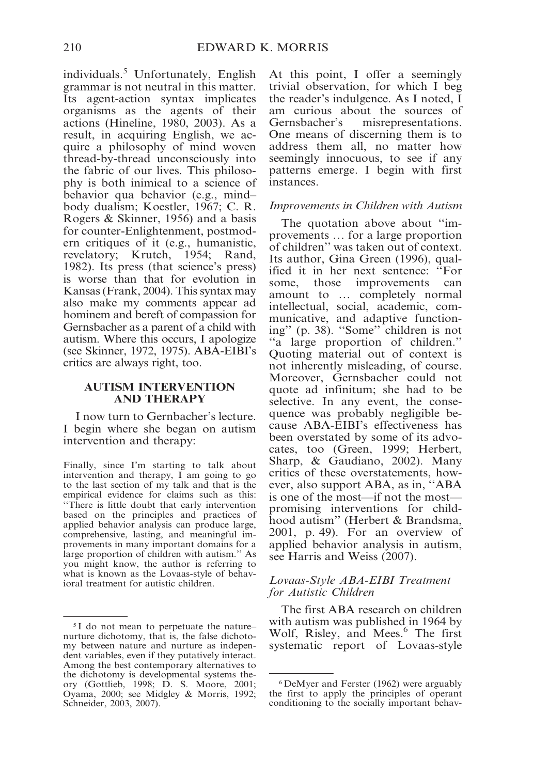individuals.<sup>5</sup> Unfortunately, English grammar is not neutral in this matter. Its agent-action syntax implicates organisms as the agents of their actions (Hineline, 1980, 2003). As a result, in acquiring English, we acquire a philosophy of mind woven thread-by-thread unconsciously into the fabric of our lives. This philosophy is both inimical to a science of behavior qua behavior (e.g., mind– body dualism; Koestler, 1967; C. R. Rogers & Skinner, 1956) and a basis for counter-Enlightenment, postmodern critiques of it (e.g., humanistic, revelatory; Krutch, 1954; Rand, 1982). Its press (that science's press) is worse than that for evolution in Kansas (Frank, 2004). This syntax may also make my comments appear ad hominem and bereft of compassion for Gernsbacher as a parent of a child with autism. Where this occurs, I apologize (see Skinner, 1972, 1975). ABA-EIBI's critics are always right, too.

### AUTISM INTERVENTION AND THERAPY

I now turn to Gernbacher's lecture. I begin where she began on autism intervention and therapy:

Finally, since I'm starting to talk about intervention and therapy, I am going to go to the last section of my talk and that is the empirical evidence for claims such as this: ''There is little doubt that early intervention based on the principles and practices of applied behavior analysis can produce large, comprehensive, lasting, and meaningful improvements in many important domains for a large proportion of children with autism.'' As you might know, the author is referring to what is known as the Lovaas-style of behavioral treatment for autistic children.

At this point, I offer a seemingly trivial observation, for which I beg the reader's indulgence. As I noted, I am curious about the sources of Gernsbacher's misrepresentations. One means of discerning them is to address them all, no matter how seemingly innocuous, to see if any patterns emerge. I begin with first instances.

#### Improvements in Children with Autism

The quotation above about ''improvements … for a large proportion of children'' was taken out of context. Its author, Gina Green (1996), qualified it in her next sentence: ''For some, those improvements can amount to … completely normal intellectual, social, academic, communicative, and adaptive functioning'' (p. 38). ''Some'' children is not ''a large proportion of children.'' Quoting material out of context is not inherently misleading, of course. Moreover, Gernsbacher could not quote ad infinitum; she had to be selective. In any event, the consequence was probably negligible because ABA-EIBI's effectiveness has been overstated by some of its advocates, too (Green, 1999; Herbert, Sharp, & Gaudiano, 2002). Many critics of these overstatements, however, also support ABA, as in, ''ABA is one of the most—if not the most promising interventions for childhood autism'' (Herbert & Brandsma, 2001, p. 49). For an overview of applied behavior analysis in autism, see Harris and Weiss (2007).

### Lovaas-Style ABA-EIBI Treatment for Autistic Children

The first ABA research on children with autism was published in 1964 by Wolf, Risley, and Mees.<sup>6</sup> The first systematic report of Lovaas-style

<sup>&</sup>lt;sup>5</sup>I do not mean to perpetuate the nature– nurture dichotomy, that is, the false dichotomy between nature and nurture as independent variables, even if they putatively interact. Among the best contemporary alternatives to the dichotomy is developmental systems theory (Gottlieb, 1998; D. S. Moore, 2001; Oyama, 2000; see Midgley & Morris, 1992; Schneider, 2003, 2007).

<sup>6</sup> DeMyer and Ferster (1962) were arguably the first to apply the principles of operant conditioning to the socially important behav-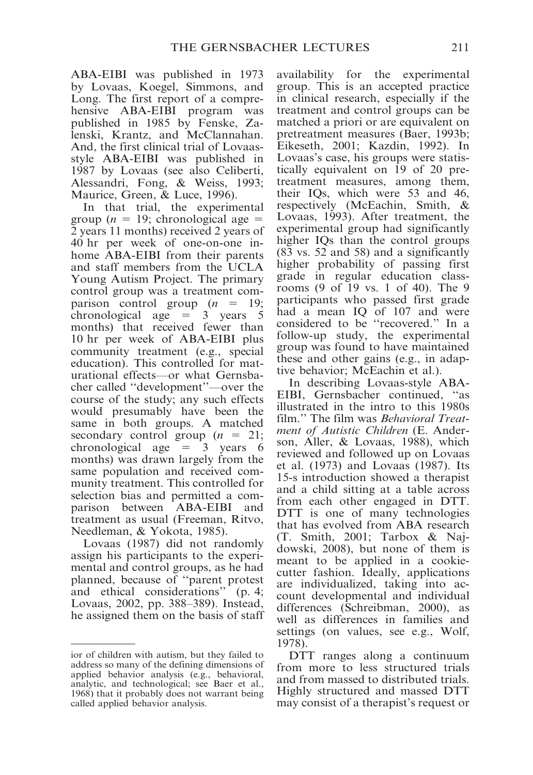ABA-EIBI was published in 1973 by Lovaas, Koegel, Simmons, and Long. The first report of a comprehensive ABA-EIBI program was published in 1985 by Fenske, Zalenski, Krantz, and McClannahan. And, the first clinical trial of Lovaasstyle ABA-EIBI was published in 1987 by Lovaas (see also Celiberti, Alessandri, Fong, & Weiss, 1993; Maurice, Green, & Luce, 1996).

In that trial, the experimental group ( $n = 19$ ; chronological age  $=$ 2 years 11 months) received 2 years of 40 hr per week of one-on-one inhome ABA-EIBI from their parents and staff members from the UCLA Young Autism Project. The primary control group was a treatment comparison control group  $(n = 19)$ ; chronological age  $= 3$  years 5 months) that received fewer than 10 hr per week of ABA-EIBI plus community treatment (e.g., special education). This controlled for maturational effects—or what Gernsbacher called ''development''—over the course of the study; any such effects would presumably have been the same in both groups. A matched secondary control group  $(n = 21)$ ; chronological age  $= 3$  years 6 months) was drawn largely from the same population and received community treatment. This controlled for selection bias and permitted a comparison between ABA-EIBI and treatment as usual (Freeman, Ritvo, Needleman, & Yokota, 1985).

Lovaas (1987) did not randomly assign his participants to the experimental and control groups, as he had planned, because of ''parent protest and ethical considerations'' (p. 4; Lovaas, 2002, pp. 388–389). Instead, he assigned them on the basis of staff

availability for the experimental group. This is an accepted practice in clinical research, especially if the treatment and control groups can be matched a priori or are equivalent on pretreatment measures (Baer, 1993b; Eikeseth, 2001; Kazdin, 1992). In Lovaas's case, his groups were statistically equivalent on 19 of 20 pretreatment measures, among them, their IQs, which were 53 and 46, respectively (McEachin, Smith, & Lovaas, 1993). After treatment, the experimental group had significantly higher IQs than the control groups (83 vs. 52 and 58) and a significantly higher probability of passing first grade in regular education classrooms (9 of 19 vs. 1 of 40). The 9 participants who passed first grade had a mean IQ of 107 and were considered to be ''recovered.'' In a follow-up study, the experimental group was found to have maintained these and other gains (e.g., in adaptive behavior; McEachin et al.).

In describing Lovaas-style ABA-EIBI, Gernsbacher continued, ''as illustrated in the intro to this 1980s film." The film was Behavioral Treatment of Autistic Children (E. Anderson, Aller, & Lovaas, 1988), which reviewed and followed up on Lovaas et al. (1973) and Lovaas (1987). Its 15-s introduction showed a therapist and a child sitting at a table across from each other engaged in DTT. DTT is one of many technologies that has evolved from ABA research (T. Smith, 2001; Tarbox & Najdowski, 2008), but none of them is meant to be applied in a cookiecutter fashion. Ideally, applications are individualized, taking into account developmental and individual differences (Schreibman, 2000), as well as differences in families and settings (on values, see e.g., Wolf, 1978).

DTT ranges along a continuum from more to less structured trials and from massed to distributed trials. Highly structured and massed DTT may consist of a therapist's request or

ior of children with autism, but they failed to address so many of the defining dimensions of applied behavior analysis (e.g., behavioral, analytic, and technological; see Baer et al., 1968) that it probably does not warrant being called applied behavior analysis.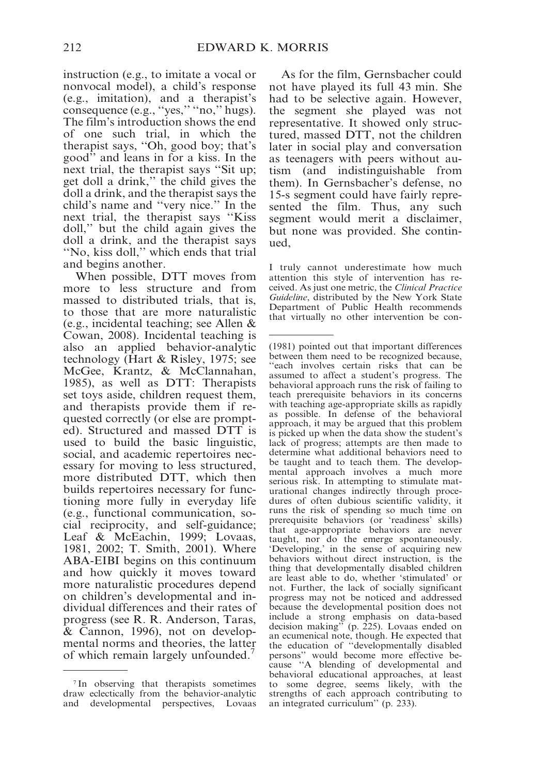instruction (e.g., to imitate a vocal or nonvocal model), a child's response (e.g., imitation), and a therapist's consequence (e.g., "yes," "no," hugs). The film's introduction shows the end of one such trial, in which the therapist says, ''Oh, good boy; that's good'' and leans in for a kiss. In the next trial, the therapist says ''Sit up; get doll a drink,'' the child gives the doll a drink, and the therapist says the child's name and ''very nice.'' In the next trial, the therapist says ''Kiss doll,'' but the child again gives the doll a drink, and the therapist says ''No, kiss doll,'' which ends that trial and begins another.

When possible, DTT moves from more to less structure and from massed to distributed trials, that is, to those that are more naturalistic (e.g., incidental teaching; see Allen & Cowan, 2008). Incidental teaching is also an applied behavior-analytic technology (Hart & Risley, 1975; see McGee, Krantz, & McClannahan, 1985), as well as DTT: Therapists set toys aside, children request them, and therapists provide them if requested correctly (or else are prompted). Structured and massed DTT is used to build the basic linguistic, social, and academic repertoires necessary for moving to less structured, more distributed DTT, which then builds repertoires necessary for functioning more fully in everyday life (e.g., functional communication, social reciprocity, and self-guidance; Leaf & McEachin, 1999; Lovaas, 1981, 2002; T. Smith, 2001). Where ABA-EIBI begins on this continuum and how quickly it moves toward more naturalistic procedures depend on children's developmental and individual differences and their rates of progress (see R. R. Anderson, Taras, & Cannon, 1996), not on developmental norms and theories, the latter of which remain largely unfounded.<sup>7</sup>

As for the film, Gernsbacher could not have played its full 43 min. She had to be selective again. However, the segment she played was not representative. It showed only structured, massed DTT, not the children later in social play and conversation as teenagers with peers without autism (and indistinguishable from them). In Gernsbacher's defense, no 15-s segment could have fairly represented the film. Thus, any such segment would merit a disclaimer, but none was provided. She continued,

I truly cannot underestimate how much attention this style of intervention has received. As just one metric, the Clinical Practice Guideline, distributed by the New York State Department of Public Health recommends that virtually no other intervention be con-

<sup>7</sup> In observing that therapists sometimes draw eclectically from the behavior-analytic and developmental perspectives, Lovaas

<sup>(1981)</sup> pointed out that important differences between them need to be recognized because, ''each involves certain risks that can be assumed to affect a student's progress. The behavioral approach runs the risk of failing to teach prerequisite behaviors in its concerns with teaching age-appropriate skills as rapidly as possible. In defense of the behavioral approach, it may be argued that this problem is picked up when the data show the student's lack of progress; attempts are then made to determine what additional behaviors need to be taught and to teach them. The developmental approach involves a much more serious risk. In attempting to stimulate maturational changes indirectly through procedures of often dubious scientific validity, it runs the risk of spending so much time on prerequisite behaviors (or 'readiness' skills) that age-appropriate behaviors are never taught, nor do the emerge spontaneously. 'Developing,' in the sense of acquiring new behaviors without direct instruction, is the thing that developmentally disabled children are least able to do, whether 'stimulated' or not. Further, the lack of socially significant progress may not be noticed and addressed because the developmental position does not include a strong emphasis on data-based decision making" (p. 225). Lovaas ended on an ecumenical note, though. He expected that the education of ''developmentally disabled persons'' would become more effective because ''A blending of developmental and behavioral educational approaches, at least to some degree, seems likely, with the strengths of each approach contributing to an integrated curriculum'' (p. 233).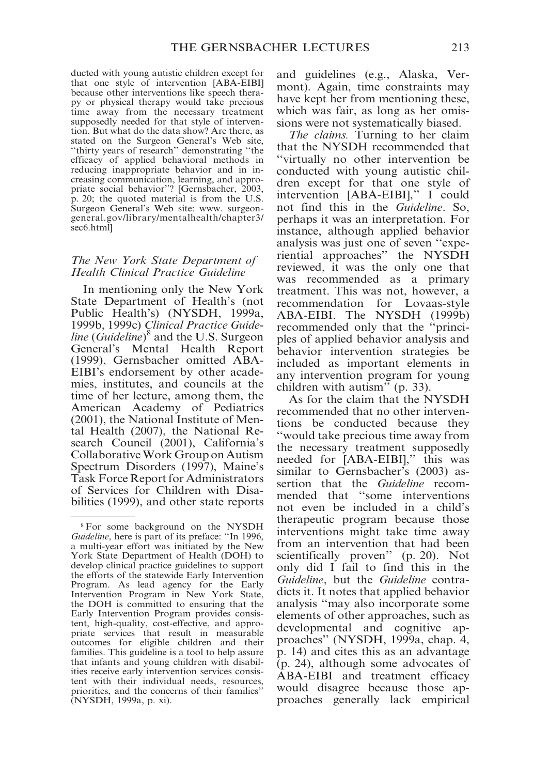ducted with young autistic children except for that one style of intervention [ABA-EIBI] because other interventions like speech therapy or physical therapy would take precious time away from the necessary treatment supposedly needed for that style of intervention. But what do the data show? Are there, as stated on the Surgeon General's Web site, ''thirty years of research'' demonstrating ''the efficacy of applied behavioral methods in reducing inappropriate behavior and in increasing communication, learning, and appropriate social behavior''? [Gernsbacher, 2003, p. 20; the quoted material is from the U.S. Surgeon General's Web site: www. surgeongeneral.gov/library/mentalhealth/chapter3/ sec6.html]

### The New York State Department of Health Clinical Practice Guideline

In mentioning only the New York State Department of Health's (not Public Health's) (NYSDH, 1999a, 1999b, 1999c) Clinical Practice Guide $line (Guideline)^8$  and the U.S. Surgeon General's Mental Health Report (1999), Gernsbacher omitted ABA-EIBI's endorsement by other academies, institutes, and councils at the time of her lecture, among them, the American Academy of Pediatrics (2001), the National Institute of Mental Health (2007), the National Research Council (2001), California's Collaborative Work Group on Autism Spectrum Disorders (1997), Maine's Task Force Report for Administrators of Services for Children with Disabilities (1999), and other state reports and guidelines (e.g., Alaska, Vermont). Again, time constraints may have kept her from mentioning these, which was fair, as long as her omissions were not systematically biased.

The claims. Turning to her claim that the NYSDH recommended that ''virtually no other intervention be conducted with young autistic children except for that one style of intervention [ABA-EIBI],'' I could not find this in the Guideline. So, perhaps it was an interpretation. For instance, although applied behavior analysis was just one of seven ''experiential approaches'' the NYSDH reviewed, it was the only one that was recommended as a primary treatment. This was not, however, a recommendation for Lovaas-style ABA-EIBI. The NYSDH (1999b) recommended only that the ''principles of applied behavior analysis and behavior intervention strategies be included as important elements in any intervention program for young children with autism<sup>3</sup> (p. 33).

As for the claim that the NYSDH recommended that no other interventions be conducted because they ''would take precious time away from the necessary treatment supposedly needed for [ABA-EIBI],'' this was similar to Gernsbacher's (2003) assertion that the *Guideline* recommended that ''some interventions not even be included in a child's therapeutic program because those interventions might take time away from an intervention that had been scientifically proven'' (p. 20). Not only did I fail to find this in the Guideline, but the Guideline contradicts it. It notes that applied behavior analysis ''may also incorporate some elements of other approaches, such as developmental and cognitive approaches'' (NYSDH, 1999a, chap. 4, p. 14) and cites this as an advantage (p. 24), although some advocates of ABA-EIBI and treatment efficacy would disagree because those approaches generally lack empirical

<sup>8</sup>For some background on the NYSDH Guideline, here is part of its preface: "In 1996, a multi-year effort was initiated by the New York State Department of Health (DOH) to develop clinical practice guidelines to support the efforts of the statewide Early Intervention Program. As lead agency for the Early Intervention Program in New York State, the DOH is committed to ensuring that the Early Intervention Program provides consistent, high-quality, cost-effective, and appropriate services that result in measurable outcomes for eligible children and their families. This guideline is a tool to help assure that infants and young children with disabilities receive early intervention services consistent with their individual needs, resources, priorities, and the concerns of their families'' (NYSDH, 1999a, p. xi).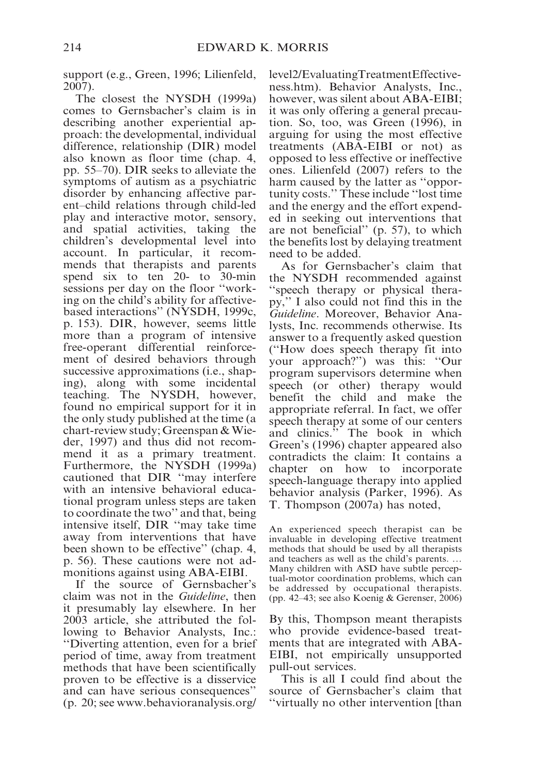support (e.g., Green, 1996; Lilienfeld, 2007).

The closest the NYSDH (1999a) comes to Gernsbacher's claim is in describing another experiential approach: the developmental, individual difference, relationship (DIR) model also known as floor time (chap. 4, pp. 55–70). DIR seeks to alleviate the symptoms of autism as a psychiatric disorder by enhancing affective parent–child relations through child-led play and interactive motor, sensory, and spatial activities, taking the children's developmental level into account. In particular, it recommends that therapists and parents spend six to ten 20- to 30-min sessions per day on the floor ''working on the child's ability for affectivebased interactions'' (NYSDH, 1999c, p. 153). DIR, however, seems little more than a program of intensive free-operant differential reinforcement of desired behaviors through successive approximations (i.e., shaping), along with some incidental teaching. The NYSDH, however, found no empirical support for it in the only study published at the time (a chart-review study; Greenspan & Wieder, 1997) and thus did not recommend it as a primary treatment. Furthermore, the NYSDH (1999a) cautioned that DIR ''may interfere with an intensive behavioral educational program unless steps are taken to coordinate the two'' and that, being intensive itself, DIR ''may take time away from interventions that have been shown to be effective'' (chap. 4, p. 56). These cautions were not admonitions against using ABA-EIBI.

If the source of Gernsbacher's claim was not in the Guideline, then it presumably lay elsewhere. In her 2003 article, she attributed the following to Behavior Analysts, Inc.: ''Diverting attention, even for a brief period of time, away from treatment methods that have been scientifically proven to be effective is a disservice and can have serious consequences'' (p. 20; see www.behavioranalysis.org/ level2/EvaluatingTreatmentEffectiveness.htm). Behavior Analysts, Inc., however, was silent about ABA-EIBI; it was only offering a general precaution. So, too, was Green (1996), in arguing for using the most effective treatments (ABA-EIBI or not) as opposed to less effective or ineffective ones. Lilienfeld (2007) refers to the harm caused by the latter as ''opportunity costs.'' These include ''lost time and the energy and the effort expended in seeking out interventions that are not beneficial'' (p. 57), to which the benefits lost by delaying treatment need to be added.

As for Gernsbacher's claim that the NYSDH recommended against ''speech therapy or physical therapy,'' I also could not find this in the Guideline. Moreover, Behavior Analysts, Inc. recommends otherwise. Its answer to a frequently asked question (''How does speech therapy fit into your approach?'') was this: ''Our program supervisors determine when speech (or other) therapy would benefit the child and make the appropriate referral. In fact, we offer speech therapy at some of our centers and clinics.'' The book in which Green's (1996) chapter appeared also contradicts the claim: It contains a chapter on how to incorporate speech-language therapy into applied behavior analysis (Parker, 1996). As T. Thompson (2007a) has noted,

An experienced speech therapist can be invaluable in developing effective treatment methods that should be used by all therapists and teachers as well as the child's parents. … Many children with ASD have subtle perceptual-motor coordination problems, which can be addressed by occupational therapists. (pp. 42–43; see also Koenig & Gerenser, 2006)

By this, Thompson meant therapists who provide evidence-based treatments that are integrated with ABA-EIBI, not empirically unsupported pull-out services.

This is all I could find about the source of Gernsbacher's claim that ''virtually no other intervention [than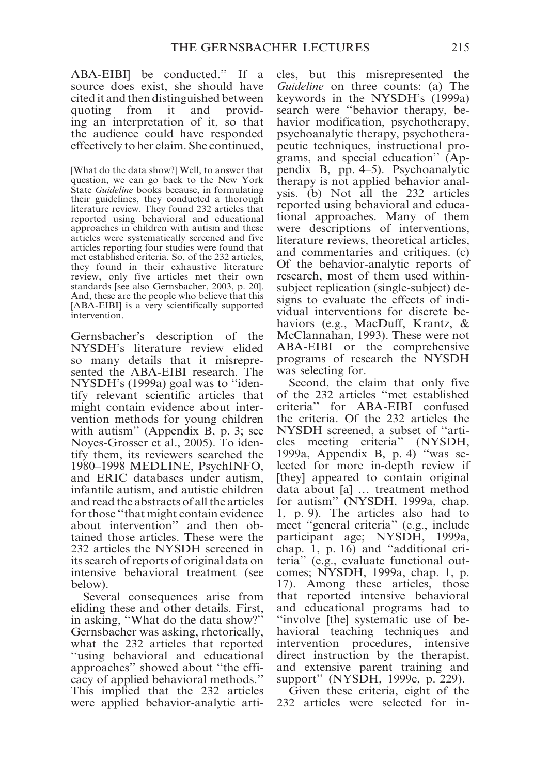ABA-EIBI] be conducted.'' If a source does exist, she should have cited it and then distinguished between quoting from it and providing an interpretation of it, so that the audience could have responded effectively to her claim. She continued,

[What do the data show?] Well, to answer that question, we can go back to the New York State Guideline books because, in formulating their guidelines, they conducted a thorough literature review. They found 232 articles that reported using behavioral and educational approaches in children with autism and these articles were systematically screened and five articles reporting four studies were found that met established criteria. So, of the 232 articles, they found in their exhaustive literature review, only five articles met their own standards [see also Gernsbacher, 2003, p. 20]. And, these are the people who believe that this [ABA-EIBI] is a very scientifically supported intervention.

Gernsbacher's description of the NYSDH's literature review elided so many details that it misrepresented the ABA-EIBI research. The NYSDH's (1999a) goal was to ''identify relevant scientific articles that might contain evidence about intervention methods for young children with autism" (Appendix B, p. 3; see Noyes-Grosser et al., 2005). To identify them, its reviewers searched the 1980–1998 MEDLINE, PsychINFO, and ERIC databases under autism, infantile autism, and autistic children and read the abstracts of all the articles for those ''that might contain evidence about intervention'' and then obtained those articles. These were the 232 articles the NYSDH screened in its search of reports of original data on intensive behavioral treatment (see below).

Several consequences arise from eliding these and other details. First, in asking, ''What do the data show?'' Gernsbacher was asking, rhetorically, what the 232 articles that reported ''using behavioral and educational approaches'' showed about ''the efficacy of applied behavioral methods.'' This implied that the 232 articles were applied behavior-analytic articles, but this misrepresented the Guideline on three counts: (a) The keywords in the NYSDH's (1999a) search were ''behavior therapy, behavior modification, psychotherapy, psychoanalytic therapy, psychotherapeutic techniques, instructional programs, and special education'' (Appendix B, pp. 4–5). Psychoanalytic therapy is not applied behavior analysis. (b) Not all the 232 articles reported using behavioral and educational approaches. Many of them were descriptions of interventions, literature reviews, theoretical articles, and commentaries and critiques. (c) Of the behavior-analytic reports of research, most of them used withinsubject replication (single-subject) designs to evaluate the effects of individual interventions for discrete behaviors (e.g., MacDuff, Krantz, & McClannahan, 1993). These were not ABA-EIBI or the comprehensive programs of research the NYSDH was selecting for.

Second, the claim that only five of the 232 articles ''met established criteria'' for ABA-EIBI confused the criteria. Of the 232 articles the NYSDH screened, a subset of ''articles meeting criteria'' (NYSDH, 1999a, Appendix B, p. 4) ''was selected for more in-depth review if [they] appeared to contain original data about [a] … treatment method for autism'' (NYSDH, 1999a, chap. 1, p. 9). The articles also had to meet ''general criteria'' (e.g., include participant age; NYSDH, 1999a, chap. 1, p. 16) and ''additional criteria'' (e.g., evaluate functional outcomes; NYSDH, 1999a, chap. 1, p. 17). Among these articles, those that reported intensive behavioral and educational programs had to ''involve [the] systematic use of behavioral teaching techniques and intervention procedures, intensive direct instruction by the therapist, and extensive parent training and support'' (NYSDH, 1999c, p. 229).

Given these criteria, eight of the 232 articles were selected for in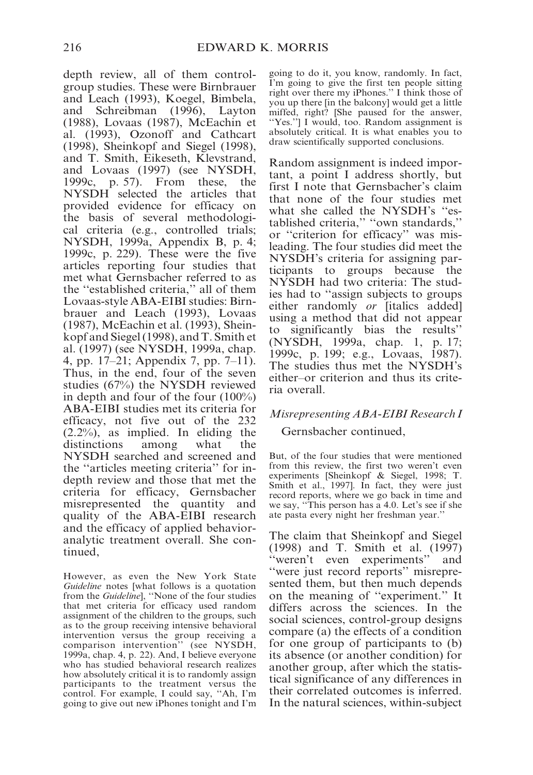depth review, all of them controlgroup studies. These were Birnbrauer and Leach (1993), Koegel, Bimbela, and Schreibman (1996), Layton (1988), Lovaas (1987), McEachin et al. (1993), Ozonoff and Cathcart (1998), Sheinkopf and Siegel (1998), and T. Smith, Eikeseth, Klevstrand, and Lovaas (1997) (see NYSDH, 1999c, p. 57). From these, the NYSDH selected the articles that provided evidence for efficacy on the basis of several methodological criteria (e.g., controlled trials; NYSDH, 1999a, Appendix B, p. 4; 1999c, p. 229). These were the five articles reporting four studies that met what Gernsbacher referred to as the ''established criteria,'' all of them Lovaas-style ABA-EIBI studies: Birnbrauer and Leach (1993), Lovaas (1987), McEachin et al. (1993), Sheinkopf and Siegel (1998), and T. Smith et al. (1997) (see NYSDH, 1999a, chap. 4, pp. 17–21; Appendix 7, pp. 7–11). Thus, in the end, four of the seven studies (67%) the NYSDH reviewed in depth and four of the four (100%) ABA-EIBI studies met its criteria for efficacy, not five out of the 232 (2.2%), as implied. In eliding the distinctions among what the NYSDH searched and screened and the ''articles meeting criteria'' for indepth review and those that met the criteria for efficacy, Gernsbacher misrepresented the quantity and quality of the ABA-EIBI research and the efficacy of applied behavioranalytic treatment overall. She continued,

However, as even the New York State Guideline notes [what follows is a quotation from the Guideline], "None of the four studies that met criteria for efficacy used random assignment of the children to the groups, such as to the group receiving intensive behavioral intervention versus the group receiving a comparison intervention'' (see NYSDH, 1999a, chap. 4, p. 22). And, I believe everyone who has studied behavioral research realizes how absolutely critical it is to randomly assign participants to the treatment versus the control. For example, I could say, ''Ah, I'm going to give out new iPhones tonight and I'm

going to do it, you know, randomly. In fact, I'm going to give the first ten people sitting right over there my iPhones.'' I think those of you up there [in the balcony] would get a little miffed, right? [She paused for the answer, "Yes."] I would, too. Random assignment is absolutely critical. It is what enables you to draw scientifically supported conclusions.

Random assignment is indeed important, a point I address shortly, but first I note that Gernsbacher's claim that none of the four studies met what she called the NYSDH's ''established criteria,'' ''own standards,'' or ''criterion for efficacy'' was misleading. The four studies did meet the NYSDH's criteria for assigning participants to groups because the NYSDH had two criteria: The studies had to ''assign subjects to groups either randomly or [italics added] using a method that did not appear to significantly bias the results'' (NYSDH, 1999a, chap. 1, p. 17; 1999c, p. 199; e.g., Lovaas, 1987). The studies thus met the NYSDH's either–or criterion and thus its criteria overall.

### Misrepresenting ABA-EIBI Research I

### Gernsbacher continued,

But, of the four studies that were mentioned from this review, the first two weren't even experiments [Sheinkopf & Siegel, 1998; T. Smith et al., 1997]. In fact, they were just record reports, where we go back in time and we say, ''This person has a 4.0. Let's see if she ate pasta every night her freshman year.''

The claim that Sheinkopf and Siegel (1998) and T. Smith et al. (1997) ''weren't even experiments'' and ''were just record reports'' misrepresented them, but then much depends on the meaning of ''experiment.'' It differs across the sciences. In the social sciences, control-group designs compare (a) the effects of a condition for one group of participants to (b) its absence (or another condition) for another group, after which the statistical significance of any differences in their correlated outcomes is inferred. In the natural sciences, within-subject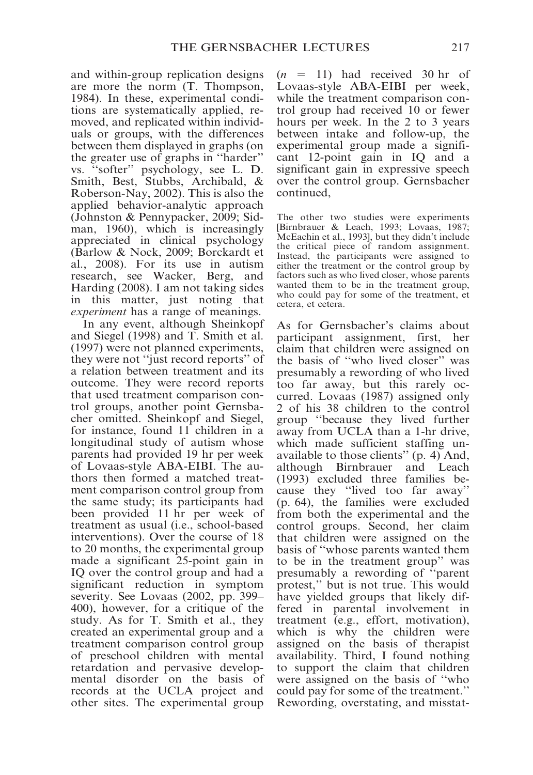and within-group replication designs are more the norm (T. Thompson, 1984). In these, experimental conditions are systematically applied, removed, and replicated within individuals or groups, with the differences between them displayed in graphs (on the greater use of graphs in ''harder'' vs. ''softer'' psychology, see L. D. Smith, Best, Stubbs, Archibald, & Roberson-Nay, 2002). This is also the applied behavior-analytic approach (Johnston & Pennypacker, 2009; Sidman, 1960), which is increasingly appreciated in clinical psychology (Barlow & Nock, 2009; Borckardt et al., 2008). For its use in autism research, see Wacker, Berg, and Harding (2008). I am not taking sides in this matter, just noting that experiment has a range of meanings.

In any event, although Sheinkopf and Siegel (1998) and T. Smith et al. (1997) were not planned experiments, they were not ''just record reports'' of a relation between treatment and its outcome. They were record reports that used treatment comparison control groups, another point Gernsbacher omitted. Sheinkopf and Siegel, for instance, found 11 children in a longitudinal study of autism whose parents had provided 19 hr per week of Lovaas-style ABA-EIBI. The authors then formed a matched treatment comparison control group from the same study; its participants had been provided 11 hr per week of treatment as usual (i.e., school-based interventions). Over the course of 18 to 20 months, the experimental group made a significant 25-point gain in IQ over the control group and had a significant reduction in symptom severity. See Lovaas (2002, pp. 399– 400), however, for a critique of the study. As for T. Smith et al., they created an experimental group and a treatment comparison control group of preschool children with mental retardation and pervasive developmental disorder on the basis of records at the UCLA project and other sites. The experimental group

 $(n = 11)$  had received 30 hr of Lovaas-style ABA-EIBI per week, while the treatment comparison control group had received 10 or fewer hours per week. In the 2 to 3 years between intake and follow-up, the experimental group made a significant 12-point gain in IQ and a significant gain in expressive speech over the control group. Gernsbacher continued,

The other two studies were experiments [Birnbrauer & Leach, 1993; Lovaas, 1987; McEachin et al., 1993], but they didn't include the critical piece of random assignment. Instead, the participants were assigned to either the treatment or the control group by factors such as who lived closer, whose parents wanted them to be in the treatment group, who could pay for some of the treatment, et cetera, et cetera.

As for Gernsbacher's claims about participant assignment, first, her claim that children were assigned on the basis of ''who lived closer'' was presumably a rewording of who lived too far away, but this rarely occurred. Lovaas (1987) assigned only 2 of his 38 children to the control group ''because they lived further away from UCLA than a 1-hr drive, which made sufficient staffing unavailable to those clients'' (p. 4) And, although Birnbrauer and Leach (1993) excluded three families because they ''lived too far away'' (p. 64), the families were excluded from both the experimental and the control groups. Second, her claim that children were assigned on the basis of ''whose parents wanted them to be in the treatment group'' was presumably a rewording of ''parent protest,'' but is not true. This would have yielded groups that likely differed in parental involvement in treatment (e.g., effort, motivation), which is why the children were assigned on the basis of therapist availability. Third, I found nothing to support the claim that children were assigned on the basis of ''who could pay for some of the treatment.'' Rewording, overstating, and misstat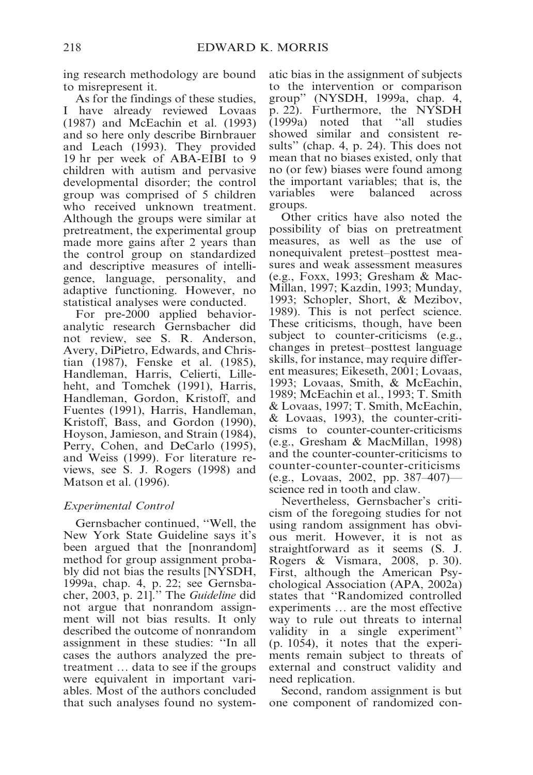ing research methodology are bound to misrepresent it.

As for the findings of these studies, I have already reviewed Lovaas (1987) and McEachin et al. (1993) and so here only describe Birnbrauer and Leach (1993). They provided 19 hr per week of ABA-EIBI to 9 children with autism and pervasive developmental disorder; the control group was comprised of 5 children who received unknown treatment. Although the groups were similar at pretreatment, the experimental group made more gains after 2 years than the control group on standardized and descriptive measures of intelligence, language, personality, and adaptive functioning. However, no statistical analyses were conducted.

For pre-2000 applied behavioranalytic research Gernsbacher did not review, see S. R. Anderson, Avery, DiPietro, Edwards, and Christian (1987), Fenske et al. (1985), Handleman, Harris, Celierti, Lilleheht, and Tomchek (1991), Harris, Handleman, Gordon, Kristoff, and Fuentes (1991), Harris, Handleman, Kristoff, Bass, and Gordon (1990), Hoyson, Jamieson, and Strain (1984), Perry, Cohen, and DeCarlo (1995), and Weiss (1999). For literature reviews, see S. J. Rogers (1998) and Matson et al. (1996).

### Experimental Control

Gernsbacher continued, ''Well, the New York State Guideline says it's been argued that the [nonrandom] method for group assignment probably did not bias the results [NYSDH, 1999a, chap. 4, p. 22; see Gernsbacher, 2003, p. 21]." The Guideline did not argue that nonrandom assignment will not bias results. It only described the outcome of nonrandom assignment in these studies: ''In all cases the authors analyzed the pretreatment … data to see if the groups were equivalent in important variables. Most of the authors concluded that such analyses found no systematic bias in the assignment of subjects to the intervention or comparison group'' (NYSDH, 1999a, chap. 4, p. 22). Furthermore, the NYSDH (1999a) noted that ''all studies showed similar and consistent results'' (chap. 4, p. 24). This does not mean that no biases existed, only that no (or few) biases were found among the important variables; that is, the variables were balanced across groups.

Other critics have also noted the possibility of bias on pretreatment measures, as well as the use of nonequivalent pretest–posttest measures and weak assessment measures (e.g., Foxx, 1993; Gresham & Mac-Millan, 1997; Kazdin, 1993; Munday, 1993; Schopler, Short, & Mezibov, 1989). This is not perfect science. These criticisms, though, have been subject to counter-criticisms (e.g., changes in pretest–posttest language skills, for instance, may require different measures; Eikeseth, 2001; Lovaas, 1993; Lovaas, Smith, & McEachin, 1989; McEachin et al., 1993; T. Smith & Lovaas, 1997; T. Smith, McEachin, & Lovaas, 1993), the counter-criticisms to counter-counter-criticisms (e.g., Gresham & MacMillan, 1998) and the counter-counter-criticisms to counter-counter-counter-criticisms (e.g., Lovaas, 2002, pp. 387–407) science red in tooth and claw.

Nevertheless, Gernsbacher's criticism of the foregoing studies for not using random assignment has obvious merit. However, it is not as straightforward as it seems (S. J. Rogers & Vismara, 2008, p. 30). First, although the American Psychological Association (APA, 2002a) states that ''Randomized controlled experiments … are the most effective way to rule out threats to internal validity in a single experiment'' (p. 1054), it notes that the experiments remain subject to threats of external and construct validity and need replication.

Second, random assignment is but one component of randomized con-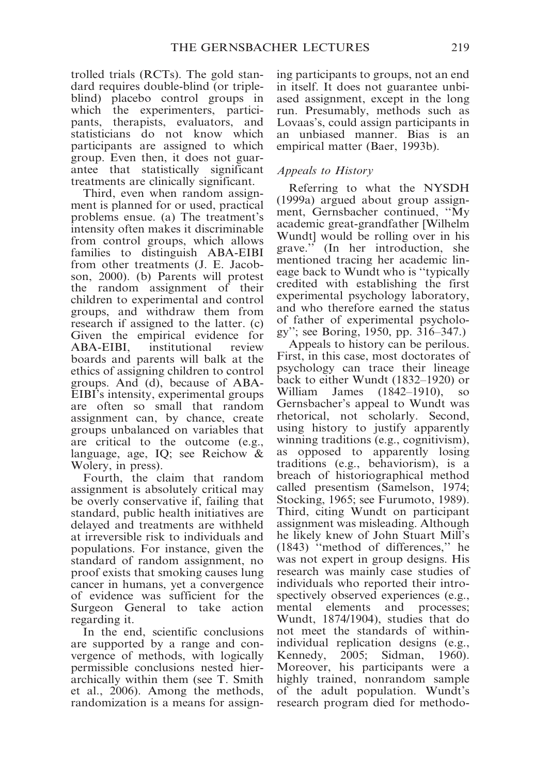trolled trials (RCTs). The gold standard requires double-blind (or tripleblind) placebo control groups in which the experimenters, participants, therapists, evaluators, and statisticians do not know which participants are assigned to which group. Even then, it does not guarantee that statistically significant treatments are clinically significant.

Third, even when random assignment is planned for or used, practical problems ensue. (a) The treatment's intensity often makes it discriminable from control groups, which allows families to distinguish ABA-EIBI from other treatments (J. E. Jacobson, 2000). (b) Parents will protest the random assignment of their children to experimental and control groups, and withdraw them from research if assigned to the latter. (c) Given the empirical evidence for ABA-EIBI, institutional review boards and parents will balk at the ethics of assigning children to control groups. And (d), because of ABA-EIBI's intensity, experimental groups are often so small that random assignment can, by chance, create groups unbalanced on variables that are critical to the outcome (e.g., language, age, IQ; see Reichow & Wolery, in press).

Fourth, the claim that random assignment is absolutely critical may be overly conservative if, failing that standard, public health initiatives are delayed and treatments are withheld at irreversible risk to individuals and populations. For instance, given the standard of random assignment, no proof exists that smoking causes lung cancer in humans, yet a convergence of evidence was sufficient for the Surgeon General to take action regarding it.

In the end, scientific conclusions are supported by a range and convergence of methods, with logically permissible conclusions nested hierarchically within them (see T. Smith et al., 2006). Among the methods, randomization is a means for assigning participants to groups, not an end in itself. It does not guarantee unbiased assignment, except in the long run. Presumably, methods such as Lovaas's, could assign participants in an unbiased manner. Bias is an empirical matter (Baer, 1993b).

## Appeals to History

Referring to what the NYSDH (1999a) argued about group assignment, Gernsbacher continued, ''My academic great-grandfather [Wilhelm Wundt] would be rolling over in his grave.'' (In her introduction, she mentioned tracing her academic lineage back to Wundt who is ''typically credited with establishing the first experimental psychology laboratory, and who therefore earned the status of father of experimental psychology''; see Boring, 1950, pp. 316–347.)

Appeals to history can be perilous. First, in this case, most doctorates of psychology can trace their lineage back to either Wundt (1832–1920) or William James (1842–1910), so Gernsbacher's appeal to Wundt was rhetorical, not scholarly. Second, using history to justify apparently winning traditions (e.g., cognitivism), as opposed to apparently losing traditions (e.g., behaviorism), is a breach of historiographical method called presentism (Samelson, 1974; Stocking, 1965; see Furumoto, 1989). Third, citing Wundt on participant assignment was misleading. Although he likely knew of John Stuart Mill's (1843) ''method of differences,'' he was not expert in group designs. His research was mainly case studies of individuals who reported their introspectively observed experiences (e.g., mental elements and processes; Wundt, 1874/1904), studies that do not meet the standards of withinindividual replication designs (e.g., Kennedy, 2005; Sidman, 1960). Moreover, his participants were a highly trained, nonrandom sample of the adult population. Wundt's research program died for methodo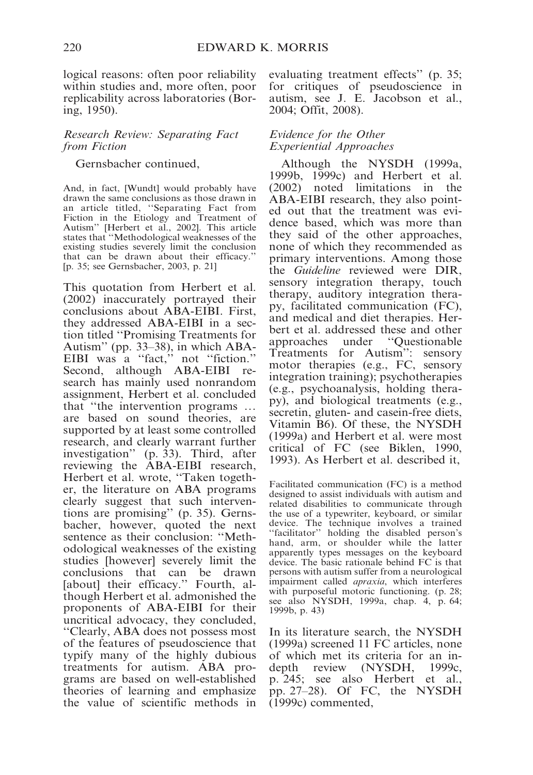logical reasons: often poor reliability within studies and, more often, poor replicability across laboratories (Boring, 1950).

### Research Review: Separating Fact from Fiction

### Gernsbacher continued,

And, in fact, [Wundt] would probably have drawn the same conclusions as those drawn in an article titled, ''Separating Fact from Fiction in the Etiology and Treatment of Autism'' [Herbert et al., 2002]. This article states that ''Methodological weaknesses of the existing studies severely limit the conclusion that can be drawn about their efficacy.'' [p. 35; see Gernsbacher, 2003, p. 21]

This quotation from Herbert et al. (2002) inaccurately portrayed their conclusions about ABA-EIBI. First, they addressed ABA-EIBI in a section titled ''Promising Treatments for Autism'' (pp. 33–38), in which ABA-EIBI was a "fact," not "fiction." Second, although ABA-EIBI research has mainly used nonrandom assignment, Herbert et al. concluded that ''the intervention programs … are based on sound theories, are supported by at least some controlled research, and clearly warrant further investigation'' (p. 33). Third, after reviewing the ABA-EIBI research, Herbert et al. wrote, ''Taken together, the literature on ABA programs clearly suggest that such interventions are promising'' (p. 35). Gernsbacher, however, quoted the next sentence as their conclusion: ''Methodological weaknesses of the existing studies [however] severely limit the conclusions that can be drawn [about] their efficacy.'' Fourth, although Herbert et al. admonished the proponents of ABA-EIBI for their uncritical advocacy, they concluded, ''Clearly, ABA does not possess most of the features of pseudoscience that typify many of the highly dubious treatments for autism. ABA programs are based on well-established theories of learning and emphasize the value of scientific methods in evaluating treatment effects'' (p. 35; for critiques of pseudoscience in autism, see J. E. Jacobson et al., 2004; Offit, 2008).

### Evidence for the Other Experiential Approaches

Although the NYSDH (1999a, 1999b, 1999c) and Herbert et al. (2002) noted limitations in the ABA-EIBI research, they also pointed out that the treatment was evidence based, which was more than they said of the other approaches, none of which they recommended as primary interventions. Among those the Guideline reviewed were DIR, sensory integration therapy, touch therapy, auditory integration therapy, facilitated communication (FC), and medical and diet therapies. Herbert et al. addressed these and other<br>approaches under "Questionable under "Questionable Treatments for Autism'': sensory motor therapies (e.g., FC, sensory integration training); psychotherapies (e.g., psychoanalysis, holding therapy), and biological treatments (e.g., secretin, gluten- and casein-free diets, Vitamin B6). Of these, the NYSDH (1999a) and Herbert et al. were most critical of FC (see Biklen, 1990, 1993). As Herbert et al. described it,

Facilitated communication (FC) is a method designed to assist individuals with autism and related disabilities to communicate through the use of a typewriter, keyboard, or similar device. The technique involves a trained ''facilitator'' holding the disabled person's hand, arm, or shoulder while the latter apparently types messages on the keyboard device. The basic rationale behind FC is that persons with autism suffer from a neurological impairment called apraxia, which interferes with purposeful motoric functioning. (p. 28; see also NYSDH, 1999a, chap. 4, p. 64; 1999b, p. 43)

In its literature search, the NYSDH (1999a) screened 11 FC articles, none of which met its criteria for an indepth review (NYSDH, 1999c, p. 245; see also Herbert et al., pp. 27–28). Of FC, the NYSDH (1999c) commented,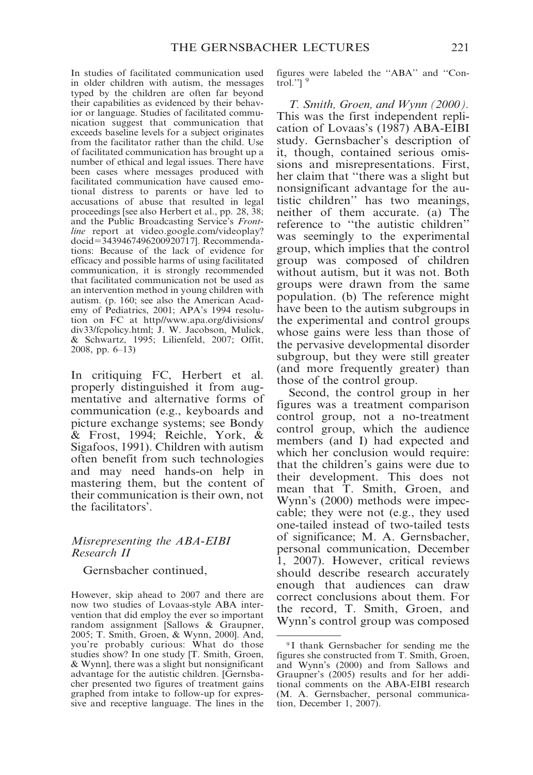In studies of facilitated communication used in older children with autism, the messages typed by the children are often far beyond their capabilities as evidenced by their behavior or language. Studies of facilitated communication suggest that communication that exceeds baseline levels for a subject originates from the facilitator rather than the child. Use of facilitated communication has brought up a number of ethical and legal issues. There have been cases where messages produced with facilitated communication have caused emotional distress to parents or have led to accusations of abuse that resulted in legal proceedings [see also Herbert et al., pp. 28, 38; and the Public Broadcasting Service's Frontline report at video.google.com/videoplay? docid=3439467496200920717]. Recommendations: Because of the lack of evidence for efficacy and possible harms of using facilitated communication, it is strongly recommended that facilitated communication not be used as an intervention method in young children with autism. (p. 160; see also the American Academy of Pediatrics, 2001; APA's 1994 resolution on FC at http//www.apa.org/divisions/ div33/fcpolicy.html; J. W. Jacobson, Mulick, & Schwartz, 1995; Lilienfeld, 2007; Offit, 2008, pp. 6–13)

In critiquing FC, Herbert et al. properly distinguished it from augmentative and alternative forms of communication (e.g., keyboards and picture exchange systems; see Bondy & Frost, 1994; Reichle, York, & Sigafoos, 1991). Children with autism often benefit from such technologies and may need hands-on help in mastering them, but the content of their communication is their own, not the facilitators'.

#### Misrepresenting the ABA-EIBI Research II

Gernsbacher continued,

However, skip ahead to 2007 and there are now two studies of Lovaas-style ABA intervention that did employ the ever so important random assignment [Sallows & Graupner, 2005; T. Smith, Groen, & Wynn, 2000]. And, you're probably curious: What do those studies show? In one study [T. Smith, Groen, & Wynn], there was a slight but nonsignificant advantage for the autistic children. [Gernsbacher presented two figures of treatment gains graphed from intake to follow-up for expressive and receptive language. The lines in the

figures were labeled the ''ABA'' and ''Control. $']$ 

T. Smith, Groen, and Wynn (2000). This was the first independent replication of Lovaas's (1987) ABA-EIBI study. Gernsbacher's description of it, though, contained serious omissions and misrepresentations. First, her claim that ''there was a slight but nonsignificant advantage for the autistic children'' has two meanings, neither of them accurate. (a) The reference to ''the autistic children'' was seemingly to the experimental group, which implies that the control group was composed of children without autism, but it was not. Both groups were drawn from the same population. (b) The reference might have been to the autism subgroups in the experimental and control groups whose gains were less than those of the pervasive developmental disorder subgroup, but they were still greater (and more frequently greater) than those of the control group.

Second, the control group in her figures was a treatment comparison control group, not a no-treatment control group, which the audience members (and I) had expected and which her conclusion would require: that the children's gains were due to their development. This does not mean that T. Smith, Groen, and Wynn's (2000) methods were impeccable; they were not (e.g., they used one-tailed instead of two-tailed tests of significance; M. A. Gernsbacher, personal communication, December 1, 2007). However, critical reviews should describe research accurately enough that audiences can draw correct conclusions about them. For the record, T. Smith, Groen, and Wynn's control group was composed

<sup>9</sup> I thank Gernsbacher for sending me the figures she constructed from T. Smith, Groen, and Wynn's (2000) and from Sallows and Graupner's (2005) results and for her additional comments on the ABA-EIBI research (M. A. Gernsbacher, personal communication, December 1, 2007).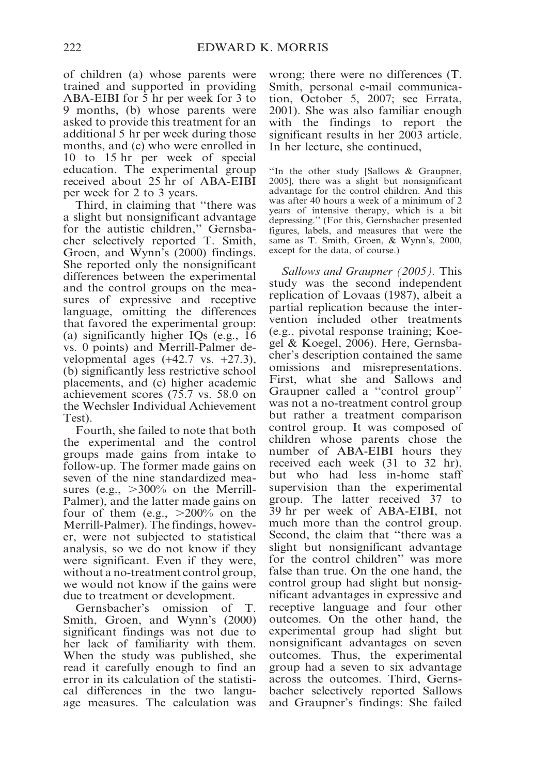of children (a) whose parents were trained and supported in providing ABA-EIBI for 5 hr per week for 3 to 9 months, (b) whose parents were asked to provide this treatment for an additional 5 hr per week during those months, and (c) who were enrolled in 10 to 15 hr per week of special education. The experimental group received about 25 hr of ABA-EIBI per week for 2 to 3 years.

Third, in claiming that ''there was a slight but nonsignificant advantage for the autistic children,'' Gernsbacher selectively reported T. Smith, Groen, and Wynn's (2000) findings. She reported only the nonsignificant differences between the experimental and the control groups on the measures of expressive and receptive language, omitting the differences that favored the experimental group: (a) significantly higher IQs (e.g., 16 vs. 0 points) and Merrill-Palmer developmental ages  $(+42.7 \text{ vs. } +27.3)$ , (b) significantly less restrictive school placements, and (c) higher academic achievement scores (75.7 vs. 58.0 on the Wechsler Individual Achievement Test).

Fourth, she failed to note that both the experimental and the control groups made gains from intake to follow-up. The former made gains on seven of the nine standardized measures (e.g.,  $>300\%$  on the Merrill-Palmer), and the latter made gains on four of them (e.g.,  $>200\%$  on the Merrill-Palmer). The findings, however, were not subjected to statistical analysis, so we do not know if they were significant. Even if they were, without a no-treatment control group, we would not know if the gains were due to treatment or development.

Gernsbacher's omission of T. Smith, Groen, and Wynn's (2000) significant findings was not due to her lack of familiarity with them. When the study was published, she read it carefully enough to find an error in its calculation of the statistical differences in the two language measures. The calculation was

wrong; there were no differences (T. Smith, personal e-mail communication, October 5, 2007; see Errata, 2001). She was also familiar enough with the findings to report the significant results in her 2003 article. In her lecture, she continued,

''In the other study [Sallows & Graupner, 2005], there was a slight but nonsignificant advantage for the control children. And this was after 40 hours a week of a minimum of 2 years of intensive therapy, which is a bit depressing.'' (For this, Gernsbacher presented figures, labels, and measures that were the same as T. Smith, Groen, & Wynn's, 2000, except for the data, of course.)

Sallows and Graupner (2005). This study was the second independent replication of Lovaas (1987), albeit a partial replication because the intervention included other treatments (e.g., pivotal response training; Koegel & Koegel, 2006). Here, Gernsbacher's description contained the same omissions and misrepresentations. First, what she and Sallows and Graupner called a ''control group'' was not a no-treatment control group but rather a treatment comparison control group. It was composed of children whose parents chose the number of ABA-EIBI hours they received each week (31 to 32 hr), but who had less in-home staff supervision than the experimental group. The latter received 37 to 39 hr per week of ABA-EIBI, not much more than the control group. Second, the claim that ''there was a slight but nonsignificant advantage for the control children'' was more false than true. On the one hand, the control group had slight but nonsignificant advantages in expressive and receptive language and four other outcomes. On the other hand, the experimental group had slight but nonsignificant advantages on seven outcomes. Thus, the experimental group had a seven to six advantage across the outcomes. Third, Gernsbacher selectively reported Sallows and Graupner's findings: She failed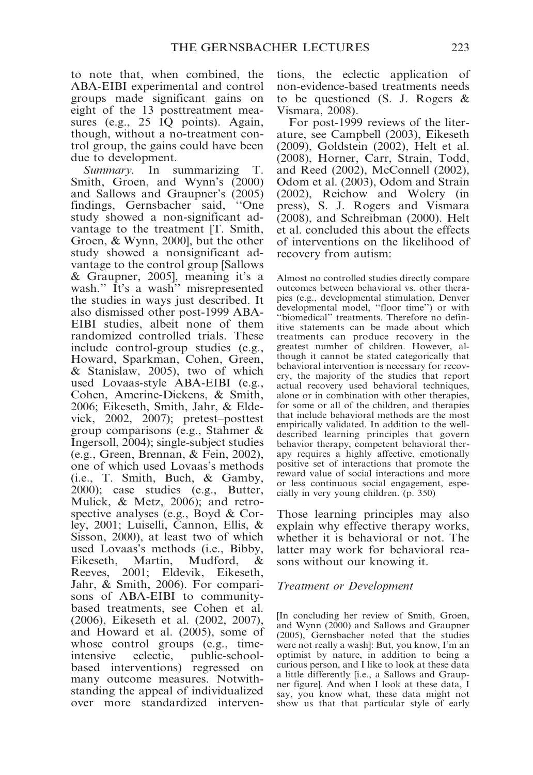to note that, when combined, the ABA-EIBI experimental and control groups made significant gains on eight of the 13 posttreatment measures (e.g., 25 IQ points). Again, though, without a no-treatment control group, the gains could have been due to development.

Summary. In summarizing T. Smith, Groen, and Wynn's (2000) and Sallows and Graupner's (2005) findings, Gernsbacher said, ''One study showed a non-significant advantage to the treatment [T. Smith, Groen, & Wynn, 2000], but the other study showed a nonsignificant advantage to the control group [Sallows & Graupner, 2005], meaning it's a wash." It's a wash" misrepresented the studies in ways just described. It also dismissed other post-1999 ABA-EIBI studies, albeit none of them randomized controlled trials. These include control-group studies (e.g., Howard, Sparkman, Cohen, Green, & Stanislaw, 2005), two of which used Lovaas-style ABA-EIBI (e.g., Cohen, Amerine-Dickens, & Smith, 2006; Eikeseth, Smith, Jahr, & Eldevick, 2002, 2007); pretest–posttest group comparisons (e.g., Stahmer & Ingersoll, 2004); single-subject studies (e.g., Green, Brennan, & Fein, 2002), one of which used Lovaas's methods (i.e., T. Smith, Buch, & Gamby, 2000); case studies (e.g., Butter, Mulick, & Metz, 2006); and retrospective analyses (e.g., Boyd & Corley, 2001; Luiselli, Cannon, Ellis, & Sisson, 2000), at least two of which used Lovaas's methods (i.e., Bibby, Mudford, & Reeves, 2001; Eldevik, Eikeseth, Jahr, & Smith, 2006). For comparisons of ABA-EIBI to communitybased treatments, see Cohen et al. (2006), Eikeseth et al. (2002, 2007), and Howard et al. (2005), some of whose control groups (e.g., timeintensive eclectic, public-schoolbased interventions) regressed on many outcome measures. Notwithstanding the appeal of individualized over more standardized interventions, the eclectic application of non-evidence-based treatments needs to be questioned (S. J. Rogers & Vismara, 2008).

For post-1999 reviews of the literature, see Campbell (2003), Eikeseth (2009), Goldstein (2002), Helt et al. (2008), Horner, Carr, Strain, Todd, and Reed (2002), McConnell (2002), Odom et al. (2003), Odom and Strain (2002), Reichow and Wolery (in press), S. J. Rogers and Vismara (2008), and Schreibman (2000). Helt et al. concluded this about the effects of interventions on the likelihood of recovery from autism:

Almost no controlled studies directly compare outcomes between behavioral vs. other therapies (e.g., developmental stimulation, Denver developmental model, ''floor time'') or with ''biomedical'' treatments. Therefore no definitive statements can be made about which treatments can produce recovery in the greatest number of children. However, although it cannot be stated categorically that behavioral intervention is necessary for recovery, the majority of the studies that report actual recovery used behavioral techniques, alone or in combination with other therapies, for some or all of the children, and therapies that include behavioral methods are the most empirically validated. In addition to the welldescribed learning principles that govern behavior therapy, competent behavioral therapy requires a highly affective, emotionally positive set of interactions that promote the reward value of social interactions and more or less continuous social engagement, especially in very young children. (p. 350)

Those learning principles may also explain why effective therapy works, whether it is behavioral or not. The latter may work for behavioral reasons without our knowing it.

#### Treatment or Development

[In concluding her review of Smith, Groen, and Wynn (2000) and Sallows and Graupner (2005), Gernsbacher noted that the studies were not really a wash]: But, you know, I'm an optimist by nature, in addition to being a curious person, and I like to look at these data a little differently [i.e., a Sallows and Graupner figure]. And when I look at these data, I say, you know what, these data might not show us that that particular style of early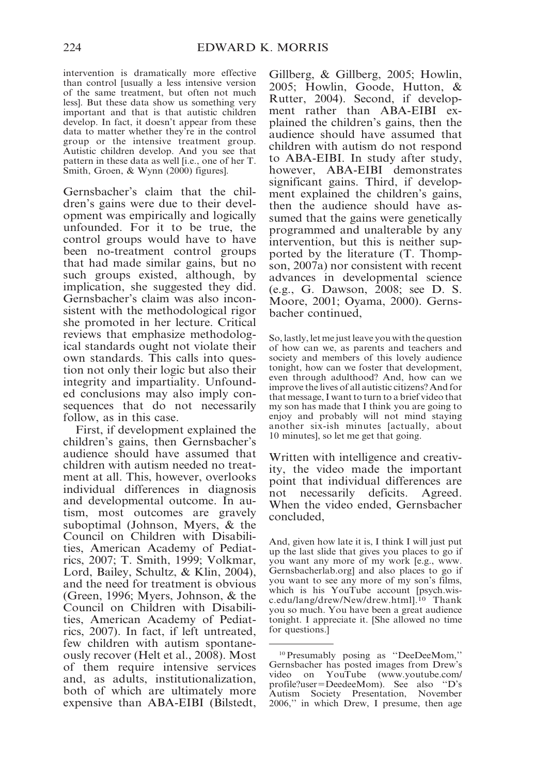intervention is dramatically more effective than control [usually a less intensive version of the same treatment, but often not much less]. But these data show us something very important and that is that autistic children develop. In fact, it doesn't appear from these data to matter whether they're in the control group or the intensive treatment group. Autistic children develop. And you see that pattern in these data as well [i.e., one of her T. Smith, Groen, & Wynn (2000) figures].

Gernsbacher's claim that the children's gains were due to their development was empirically and logically unfounded. For it to be true, the control groups would have to have been no-treatment control groups that had made similar gains, but no such groups existed, although, by implication, she suggested they did. Gernsbacher's claim was also inconsistent with the methodological rigor she promoted in her lecture. Critical reviews that emphasize methodological standards ought not violate their own standards. This calls into question not only their logic but also their integrity and impartiality. Unfounded conclusions may also imply consequences that do not necessarily follow, as in this case.

First, if development explained the children's gains, then Gernsbacher's audience should have assumed that children with autism needed no treatment at all. This, however, overlooks individual differences in diagnosis and developmental outcome. In autism, most outcomes are gravely suboptimal (Johnson, Myers, & the Council on Children with Disabilities, American Academy of Pediatrics, 2007; T. Smith, 1999; Volkmar, Lord, Bailey, Schultz, & Klin, 2004), and the need for treatment is obvious (Green, 1996; Myers, Johnson, & the Council on Children with Disabilities, American Academy of Pediatrics, 2007). In fact, if left untreated, few children with autism spontaneously recover (Helt et al., 2008). Most of them require intensive services and, as adults, institutionalization, both of which are ultimately more expensive than ABA-EIBI (Bilstedt,

Gillberg, & Gillberg, 2005; Howlin, 2005; Howlin, Goode, Hutton, & Rutter, 2004). Second, if development rather than ABA-EIBI explained the children's gains, then the audience should have assumed that children with autism do not respond to ABA-EIBI. In study after study, however, ABA-EIBI demonstrates significant gains. Third, if development explained the children's gains, then the audience should have assumed that the gains were genetically programmed and unalterable by any intervention, but this is neither supported by the literature (T. Thompson, 2007a) nor consistent with recent advances in developmental science (e.g., G. Dawson, 2008; see D. S. Moore, 2001; Oyama, 2000). Gernsbacher continued,

So, lastly, let me just leave you with the question of how can we, as parents and teachers and society and members of this lovely audience tonight, how can we foster that development, even through adulthood? And, how can we improve the lives of all autistic citizens? And for that message, I want to turn to a brief video that my son has made that I think you are going to enjoy and probably will not mind staying another six-ish minutes [actually, about 10 minutes], so let me get that going.

Written with intelligence and creativity, the video made the important point that individual differences are not necessarily deficits. Agreed. When the video ended, Gernsbacher concluded,

And, given how late it is, I think I will just put up the last slide that gives you places to go if you want any more of my work [e.g., www. Gernsbacherlab.org] and also places to go if you want to see any more of my son's films, which is his YouTube account [psych.wisc.edu/lang/drew/New/drew.html].<sup>10</sup> Thank you so much. You have been a great audience tonight. I appreciate it. [She allowed no time for questions.]

<sup>&</sup>lt;sup>10</sup> Presumably posing as "DeeDeeMom," Gernsbacher has posted images from Drew's video on YouTube (www.youtube.com/ profile?user=DeedeeMom). See also "D's Autism Society Presentation, November 2006,'' in which Drew, I presume, then age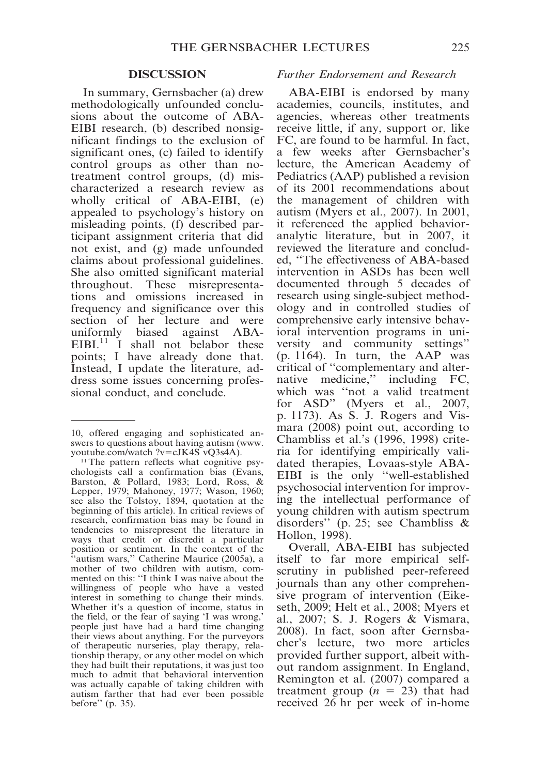#### DISCUSSION

In summary, Gernsbacher (a) drew methodologically unfounded conclusions about the outcome of ABA-EIBI research, (b) described nonsignificant findings to the exclusion of significant ones, (c) failed to identify control groups as other than notreatment control groups, (d) mischaracterized a research review as wholly critical of ABA-EIBI, (e) appealed to psychology's history on misleading points, (f) described participant assignment criteria that did not exist, and (g) made unfounded claims about professional guidelines. She also omitted significant material throughout. These misrepresentations and omissions increased in frequency and significance over this section of her lecture and were uniformly biased against ABA- $EIBI<sub>11</sub>$  I shall not belabor these points; I have already done that. Instead, I update the literature, address some issues concerning professional conduct, and conclude.

### Further Endorsement and Research

ABA-EIBI is endorsed by many academies, councils, institutes, and agencies, whereas other treatments receive little, if any, support or, like FC, are found to be harmful. In fact, a few weeks after Gernsbacher's lecture, the American Academy of Pediatrics (AAP) published a revision of its 2001 recommendations about the management of children with autism (Myers et al., 2007). In 2001, it referenced the applied behavioranalytic literature, but in 2007, it reviewed the literature and concluded, ''The effectiveness of ABA-based intervention in ASDs has been well documented through 5 decades of research using single-subject methodology and in controlled studies of comprehensive early intensive behavioral intervention programs in university and community settings'' (p. 1164). In turn, the AAP was critical of ''complementary and alternative medicine,'' including FC, which was ''not a valid treatment for ASD'' (Myers et al., 2007, p. 1173). As S. J. Rogers and Vismara (2008) point out, according to Chambliss et al.'s (1996, 1998) criteria for identifying empirically validated therapies, Lovaas-style ABA-EIBI is the only ''well-established psychosocial intervention for improving the intellectual performance of young children with autism spectrum disorders'' (p. 25; see Chambliss & Hollon, 1998).

Overall, ABA-EIBI has subjected itself to far more empirical selfscrutiny in published peer-refereed journals than any other comprehensive program of intervention (Eikeseth, 2009; Helt et al., 2008; Myers et al., 2007; S. J. Rogers & Vismara, 2008). In fact, soon after Gernsbacher's lecture, two more articles provided further support, albeit without random assignment. In England, Remington et al. (2007) compared a treatment group  $(n = 23)$  that had received 26 hr per week of in-home

<sup>10,</sup> offered engaging and sophisticated answers to questions about having autism (www. youtube.com/watch  $?v = cJK4S \overline{v}Q3s4A$ ).

<sup>&</sup>lt;sup>11</sup>The pattern reflects what cognitive psychologists call a confirmation bias (Evans, Barston, & Pollard, 1983; Lord, Ross, & Lepper, 1979; Mahoney, 1977; Wason, 1960; see also the Tolstoy, 1894, quotation at the beginning of this article). In critical reviews of research, confirmation bias may be found in tendencies to misrepresent the literature in ways that credit or discredit a particular position or sentiment. In the context of the 'autism wars," Catherine Maurice (2005a), a mother of two children with autism, commented on this: "I think I was naive about the willingness of people who have a vested interest in something to change their minds. Whether it's a question of income, status in the field, or the fear of saying 'I was wrong,' people just have had a hard time changing their views about anything. For the purveyors of therapeutic nurseries, play therapy, relationship therapy, or any other model on which they had built their reputations, it was just too much to admit that behavioral intervention was actually capable of taking children with autism farther that had ever been possible before'' (p. 35).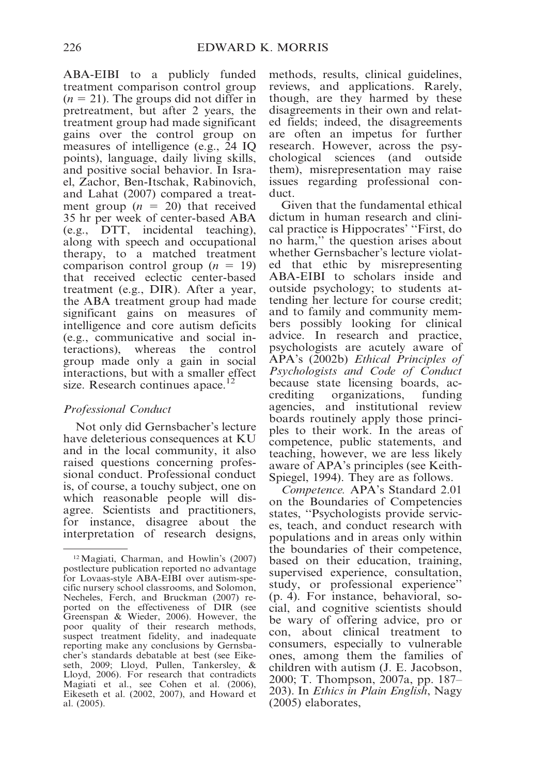ABA-EIBI to a publicly funded treatment comparison control group  $(n = 21)$ . The groups did not differ in pretreatment, but after 2 years, the treatment group had made significant gains over the control group on measures of intelligence (e.g., 24 IQ points), language, daily living skills, and positive social behavior. In Israel, Zachor, Ben-Itschak, Rabinovich, and Lahat (2007) compared a treatment group  $(n = 20)$  that received 35 hr per week of center-based ABA (e.g., DTT, incidental teaching), along with speech and occupational therapy, to a matched treatment comparison control group  $(n = 19)$ that received eclectic center-based treatment (e.g., DIR). After a year, the ABA treatment group had made significant gains on measures of intelligence and core autism deficits (e.g., communicative and social interactions), whereas the control group made only a gain in social interactions, but with a smaller effect size. Research continues apace.<sup>12</sup>

### Professional Conduct

Not only did Gernsbacher's lecture have deleterious consequences at KU and in the local community, it also raised questions concerning professional conduct. Professional conduct is, of course, a touchy subject, one on which reasonable people will disagree. Scientists and practitioners, for instance, disagree about the interpretation of research designs,

methods, results, clinical guidelines, reviews, and applications. Rarely, though, are they harmed by these disagreements in their own and related fields; indeed, the disagreements are often an impetus for further research. However, across the psychological sciences (and outside them), misrepresentation may raise issues regarding professional conduct.

Given that the fundamental ethical dictum in human research and clinical practice is Hippocrates' ''First, do no harm,'' the question arises about whether Gernsbacher's lecture violated that ethic by misrepresenting ABA-EIBI to scholars inside and outside psychology; to students attending her lecture for course credit; and to family and community members possibly looking for clinical advice. In research and practice, psychologists are acutely aware of APA's (2002b) Ethical Principles of Psychologists and Code of Conduct because state licensing boards, accrediting organizations, funding agencies, and institutional review boards routinely apply those principles to their work. In the areas of competence, public statements, and teaching, however, we are less likely aware of APA's principles (see Keith-Spiegel, 1994). They are as follows.

Competence. APA's Standard 2.01 on the Boundaries of Competencies states, ''Psychologists provide services, teach, and conduct research with populations and in areas only within the boundaries of their competence, based on their education, training, supervised experience, consultation, study, or professional experience'' (p. 4). For instance, behavioral, social, and cognitive scientists should be wary of offering advice, pro or con, about clinical treatment to consumers, especially to vulnerable ones, among them the families of children with autism (J. E. Jacobson, 2000; T. Thompson, 2007a, pp. 187– 203). In Ethics in Plain English, Nagy (2005) elaborates,

<sup>12</sup>Magiati, Charman, and Howlin's (2007) postlecture publication reported no advantage for Lovaas-style ABA-EIBI over autism-specific nursery school classrooms, and Solomon, Necheles, Ferch, and Bruckman (2007) reported on the effectiveness of DIR (see Greenspan & Wieder, 2006). However, the poor quality of their research methods, suspect treatment fidelity, and inadequate reporting make any conclusions by Gernsbacher's standards debatable at best (see Eikeseth, 2009; Lloyd, Pullen, Tankersley, & Lloyd, 2006). For research that contradicts Magiati et al., see Cohen et al. (2006), Eikeseth et al. (2002, 2007), and Howard et al. (2005).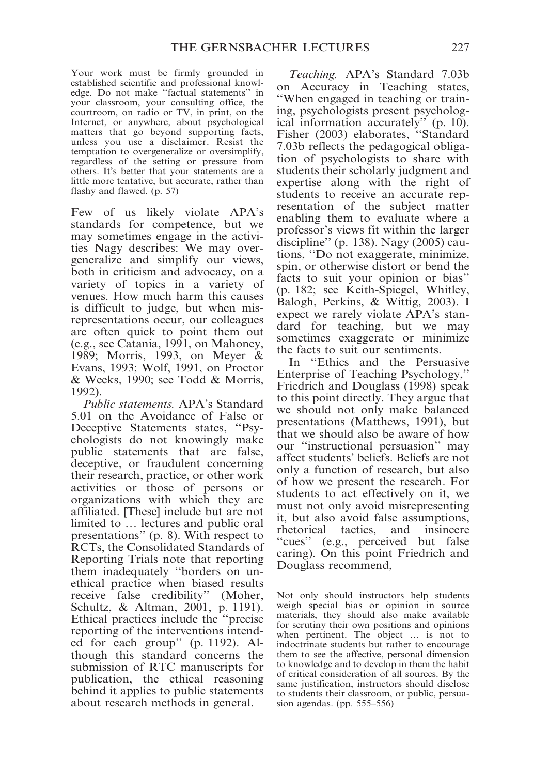Your work must be firmly grounded in established scientific and professional knowledge. Do not make ''factual statements'' in your classroom, your consulting office, the courtroom, on radio or TV, in print, on the Internet, or anywhere, about psychological matters that go beyond supporting facts, unless you use a disclaimer. Resist the temptation to overgeneralize or oversimplify, regardless of the setting or pressure from others. It's better that your statements are a little more tentative, but accurate, rather than flashy and flawed. (p. 57)

Few of us likely violate APA's standards for competence, but we may sometimes engage in the activities Nagy describes: We may overgeneralize and simplify our views, both in criticism and advocacy, on a variety of topics in a variety of venues. How much harm this causes is difficult to judge, but when misrepresentations occur, our colleagues are often quick to point them out (e.g., see Catania, 1991, on Mahoney, 1989; Morris, 1993, on Meyer & Evans, 1993; Wolf, 1991, on Proctor & Weeks, 1990; see Todd & Morris, 1992).

Public statements. APA's Standard 5.01 on the Avoidance of False or Deceptive Statements states, ''Psychologists do not knowingly make public statements that are false, deceptive, or fraudulent concerning their research, practice, or other work activities or those of persons or organizations with which they are affiliated. [These] include but are not limited to … lectures and public oral presentations'' (p. 8). With respect to RCTs, the Consolidated Standards of Reporting Trials note that reporting them inadequately ''borders on unethical practice when biased results receive false credibility'' (Moher, Schultz, & Altman, 2001, p. 1191). Ethical practices include the ''precise reporting of the interventions intended for each group'' (p. 1192). Although this standard concerns the submission of RTC manuscripts for publication, the ethical reasoning behind it applies to public statements about research methods in general.

Teaching. APA's Standard 7.03b on Accuracy in Teaching states, ''When engaged in teaching or training, psychologists present psychological information accurately'' (p. 10). Fisher (2003) elaborates, ''Standard 7.03b reflects the pedagogical obligation of psychologists to share with students their scholarly judgment and expertise along with the right of students to receive an accurate representation of the subject matter enabling them to evaluate where a professor's views fit within the larger discipline'' (p. 138). Nagy (2005) cautions, ''Do not exaggerate, minimize, spin, or otherwise distort or bend the facts to suit your opinion or bias'' (p. 182; see Keith-Spiegel, Whitley, Balogh, Perkins, & Wittig, 2003). I expect we rarely violate APA's standard for teaching, but we may sometimes exaggerate or minimize the facts to suit our sentiments.

In ''Ethics and the Persuasive Enterprise of Teaching Psychology,'' Friedrich and Douglass (1998) speak to this point directly. They argue that we should not only make balanced presentations (Matthews, 1991), but that we should also be aware of how our ''instructional persuasion'' may affect students' beliefs. Beliefs are not only a function of research, but also of how we present the research. For students to act effectively on it, we must not only avoid misrepresenting it, but also avoid false assumptions, rhetorical tactics, and insincere "cues" (e.g., perceived but false caring). On this point Friedrich and Douglass recommend,

Not only should instructors help students weigh special bias or opinion in source materials, they should also make available for scrutiny their own positions and opinions when pertinent. The object ... is not to indoctrinate students but rather to encourage them to see the affective, personal dimension to knowledge and to develop in them the habit of critical consideration of all sources. By the same justification, instructors should disclose to students their classroom, or public, persuasion agendas. (pp. 555–556)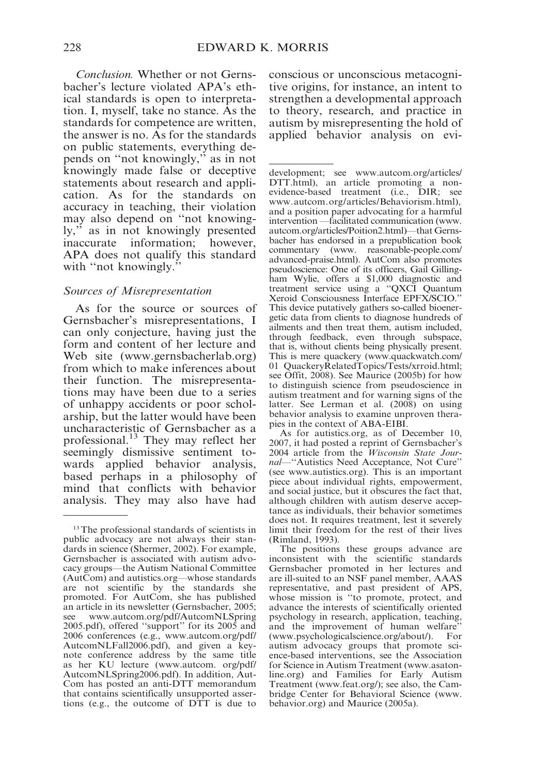Conclusion. Whether or not Gernsbacher's lecture violated APA's ethical standards is open to interpretation. I, myself, take no stance. As the standards for competence are written, the answer is no. As for the standards on public statements, everything depends on ''not knowingly,'' as in not knowingly made false or deceptive statements about research and application. As for the standards on accuracy in teaching, their violation may also depend on ''not knowingly,'' as in not knowingly presented inaccurate information; however, APA does not qualify this standard with "not knowingly."

#### Sources of Misrepresentation

As for the source or sources of Gernsbacher's misrepresentations, I can only conjecture, having just the form and content of her lecture and Web site (www.gernsbacherlab.org) from which to make inferences about their function. The misrepresentations may have been due to a series of unhappy accidents or poor scholarship, but the latter would have been uncharacteristic of Gernsbacher as a professional. $13$  They may reflect her seemingly dismissive sentiment towards applied behavior analysis, based perhaps in a philosophy of mind that conflicts with behavior analysis. They may also have had

conscious or unconscious metacognitive origins, for instance, an intent to strengthen a developmental approach to theory, research, and practice in autism by misrepresenting the hold of applied behavior analysis on evi-

As for autistics.org, as of December 10, 2007, it had posted a reprint of Gernsbacher's 2004 article from the Wisconsin State Journal-"Autistics Need Acceptance, Not Cure" (see www.autistics.org). This is an important piece about individual rights, empowerment, and social justice, but it obscures the fact that, although children with autism deserve acceptance as individuals, their behavior sometimes does not. It requires treatment, lest it severely limit their freedom for the rest of their lives (Rimland, 1993).

The positions these groups advance are inconsistent with the scientific standards Gernsbacher promoted in her lectures and are ill-suited to an NSF panel member, AAAS representative, and past president of APS, whose mission is "to promote, protect, and advance the interests of scientifically oriented psychology in research, application, teaching, and the improvement of human welfare"<br>(www.psychologicalscience.org/about/). For (www.psychologicalscience.org/about/). autism advocacy groups that promote science-based interventions, see the Association for Science in Autism Treatment (www.asatonline.org) and Families for Early Autism Treatment (www.feat.org/); see also, the Cambridge Center for Behavioral Science (www. behavior.org) and Maurice (2005a).

<sup>&</sup>lt;sup>13</sup>The professional standards of scientists in public advocacy are not always their standards in science (Shermer, 2002). For example, Gernsbacher is associated with autism advocacy groups—the Autism National Committee (AutCom) and autistics.org—whose standards are not scientific by the standards she promoted. For AutCom, she has published an article in its newsletter (Gernsbacher, 2005; see www.autcom.org/pdf/AutcomNLSpring 2005.pdf), offered ''support'' for its 2005 and 2006 conferences (e.g., www.autcom.org/pdf/ AutcomNLFall2006.pdf), and given a keynote conference address by the same title as her KU lecture (www.autcom. org/pdf/ AutcomNLSpring2006.pdf). In addition, Aut-Com has posted an anti-DTT memorandum that contains scientifically unsupported assertions (e.g., the outcome of DTT is due to

development; see www.autcom.org/articles/ DTT.html), an article promoting a nonevidence-based treatment (i.e., DIR; see www.autcom.org/articles/Behaviorism.html), and a position paper advocating for a harmful intervention —facilitated communication (www. autcom.org/articles/Poition2.html)—that Gernsbacher has endorsed in a prepublication book commentary (www. reasonable-people.com/ advanced-praise.html). AutCom also promotes pseudoscience: One of its officers, Gail Gillingham Wylie, offers a \$1,000 diagnostic and treatment service using a ''QXCI Quantum Xeroid Consciousness Interface EPFX/SCIO.'' This device putatively gathers so-called bioenergetic data from clients to diagnose hundreds of ailments and then treat them, autism included, through feedback, even through subspace, that is, without clients being physically present. This is mere quackery (www.quackwatch.com/ 01 QuackeryRelatedTopics/Tests/xrroid.html; see Offit, 2008). See Maurice (2005b) for how to distinguish science from pseudoscience in autism treatment and for warning signs of the latter. See Lerman et al. (2008) on using behavior analysis to examine unproven therapies in the context of ABA-EIBI.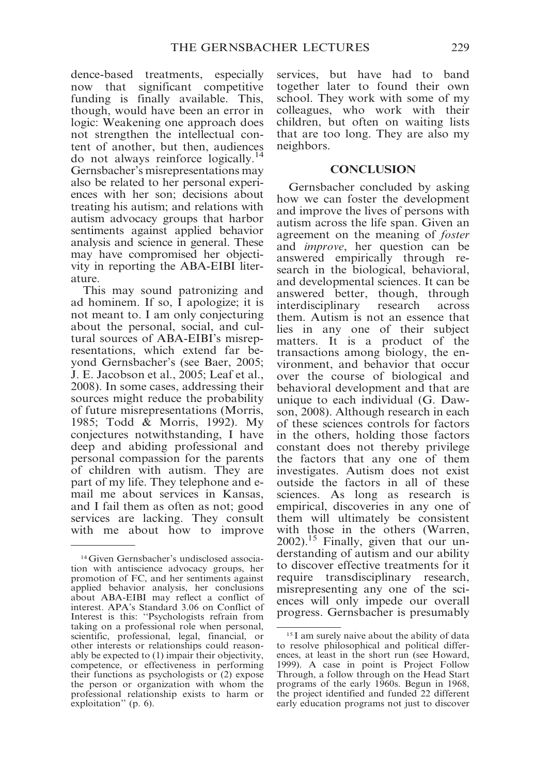dence-based treatments, especially now that significant competitive funding is finally available. This, though, would have been an error in logic: Weakening one approach does not strengthen the intellectual content of another, but then, audiences do not always reinforce logically.14 Gernsbacher's misrepresentations may also be related to her personal experiences with her son; decisions about treating his autism; and relations with autism advocacy groups that harbor sentiments against applied behavior analysis and science in general. These may have compromised her objectivity in reporting the ABA-EIBI literature.

This may sound patronizing and ad hominem. If so, I apologize; it is not meant to. I am only conjecturing about the personal, social, and cultural sources of ABA-EIBI's misrepresentations, which extend far beyond Gernsbacher's (see Baer, 2005; J. E. Jacobson et al., 2005; Leaf et al., 2008). In some cases, addressing their sources might reduce the probability of future misrepresentations (Morris, 1985; Todd & Morris, 1992). My conjectures notwithstanding, I have deep and abiding professional and personal compassion for the parents of children with autism. They are part of my life. They telephone and email me about services in Kansas, and I fail them as often as not; good services are lacking. They consult with me about how to improve services, but have had to band together later to found their own school. They work with some of my colleagues, who work with their children, but often on waiting lists that are too long. They are also my neighbors.

### **CONCLUSION**

Gernsbacher concluded by asking how we can foster the development and improve the lives of persons with autism across the life span. Given an agreement on the meaning of foster and improve, her question can be answered empirically through research in the biological, behavioral, and developmental sciences. It can be answered better, though, through interdisciplinary research across them. Autism is not an essence that lies in any one of their subject matters. It is a product of the transactions among biology, the environment, and behavior that occur over the course of biological and behavioral development and that are unique to each individual (G. Dawson, 2008). Although research in each of these sciences controls for factors in the others, holding those factors constant does not thereby privilege the factors that any one of them investigates. Autism does not exist outside the factors in all of these sciences. As long as research is empirical, discoveries in any one of them will ultimately be consistent with those in the others (Warren,  $2002$ ).<sup>15</sup> Finally, given that our understanding of autism and our ability to discover effective treatments for it require transdisciplinary research, misrepresenting any one of the sciences will only impede our overall progress. Gernsbacher is presumably

<sup>14</sup> Given Gernsbacher's undisclosed association with antiscience advocacy groups, her promotion of FC, and her sentiments against applied behavior analysis, her conclusions about ABA-EIBI may reflect a conflict of interest. APA's Standard 3.06 on Conflict of Interest is this: ''Psychologists refrain from taking on a professional role when personal, scientific, professional, legal, financial, or other interests or relationships could reasonably be expected to (1) impair their objectivity, competence, or effectiveness in performing their functions as psychologists or (2) expose the person or organization with whom the professional relationship exists to harm or exploitation'' (p. 6).

<sup>&</sup>lt;sup>15</sup> I am surely naive about the ability of data to resolve philosophical and political differences, at least in the short run (see Howard, 1999). A case in point is Project Follow Through, a follow through on the Head Start programs of the early 1960s. Begun in 1968, the project identified and funded 22 different early education programs not just to discover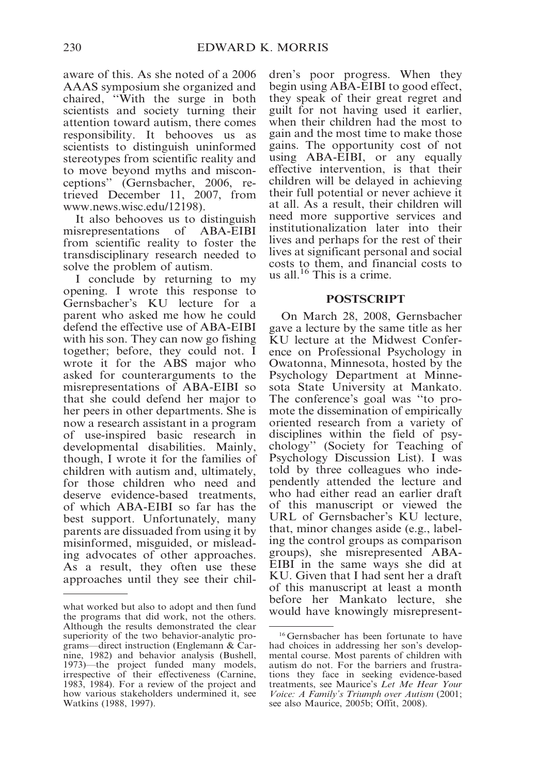aware of this. As she noted of a 2006 AAAS symposium she organized and chaired, ''With the surge in both scientists and society turning their attention toward autism, there comes responsibility. It behooves us as scientists to distinguish uninformed stereotypes from scientific reality and to move beyond myths and misconceptions'' (Gernsbacher, 2006, retrieved December 11, 2007, from www.news.wisc.edu/12198).

It also behooves us to distinguish<br>srepresentations of ABA-EIBI misrepresentations from scientific reality to foster the transdisciplinary research needed to solve the problem of autism.

I conclude by returning to my opening. I wrote this response to Gernsbacher's KU lecture for a parent who asked me how he could defend the effective use of ABA-EIBI with his son. They can now go fishing together; before, they could not. I wrote it for the ABS major who asked for counterarguments to the misrepresentations of ABA-EIBI so that she could defend her major to her peers in other departments. She is now a research assistant in a program of use-inspired basic research in developmental disabilities. Mainly, though, I wrote it for the families of children with autism and, ultimately, for those children who need and deserve evidence-based treatments, of which ABA-EIBI so far has the best support. Unfortunately, many parents are dissuaded from using it by misinformed, misguided, or misleading advocates of other approaches. As a result, they often use these approaches until they see their chil-

dren's poor progress. When they begin using ABA-EIBI to good effect, they speak of their great regret and guilt for not having used it earlier, when their children had the most to gain and the most time to make those gains. The opportunity cost of not using ABA-EIBI, or any equally effective intervention, is that their children will be delayed in achieving their full potential or never achieve it at all. As a result, their children will need more supportive services and institutionalization later into their lives and perhaps for the rest of their lives at significant personal and social costs to them, and financial costs to us all. $^{16}$  This is a crime.

### POSTSCRIPT

On March 28, 2008, Gernsbacher gave a lecture by the same title as her KU lecture at the Midwest Conference on Professional Psychology in Owatonna, Minnesota, hosted by the Psychology Department at Minnesota State University at Mankato. The conference's goal was ''to promote the dissemination of empirically oriented research from a variety of disciplines within the field of psychology'' (Society for Teaching of Psychology Discussion List). I was told by three colleagues who independently attended the lecture and who had either read an earlier draft of this manuscript or viewed the URL of Gernsbacher's KU lecture, that, minor changes aside (e.g., labeling the control groups as comparison groups), she misrepresented ABA-EIBI in the same ways she did at KU. Given that I had sent her a draft of this manuscript at least a month before her Mankato lecture, she what worked but also to adopt and then fund<br>the greenus that did work are the other would have knowingly misrepresent-

the programs that did work, not the others. Although the results demonstrated the clear superiority of the two behavior-analytic programs—direct instruction (Englemann & Carnine, 1982) and behavior analysis (Bushell, 1973)—the project funded many models, irrespective of their effectiveness (Carnine, 1983, 1984). For a review of the project and how various stakeholders undermined it, see Watkins (1988, 1997).

<sup>16</sup> Gernsbacher has been fortunate to have had choices in addressing her son's developmental course. Most parents of children with autism do not. For the barriers and frustrations they face in seeking evidence-based treatments, see Maurice's Let Me Hear Your Voice: A Family's Triumph over Autism (2001; see also Maurice, 2005b; Offit, 2008).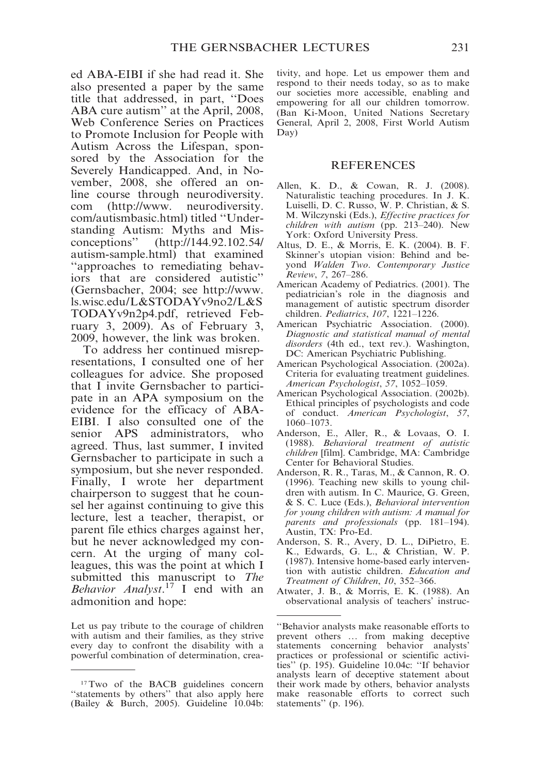ed ABA-EIBI if she had read it. She also presented a paper by the same title that addressed, in part, ''Does ABA cure autism'' at the April, 2008, Web Conference Series on Practices to Promote Inclusion for People with Autism Across the Lifespan, sponsored by the Association for the Severely Handicapped. And, in November, 2008, she offered an online course through neurodiversity. com (http://www. neurodiversity. com/autismbasic.html) titled ''Understanding Autism: Myths and Misconceptions'' (http://144.92.102.54/ autism-sample.html) that examined ''approaches to remediating behaviors that are considered autistic'' (Gernsbacher, 2004; see http://www. ls.wisc.edu/L&STODAYv9no2/L&S TODAYv9n2p4.pdf, retrieved February 3, 2009). As of February 3, 2009, however, the link was broken.

To address her continued misrepresentations, I consulted one of her colleagues for advice. She proposed that I invite Gernsbacher to participate in an APA symposium on the evidence for the efficacy of ABA-EIBI. I also consulted one of the senior APS administrators, who agreed. Thus, last summer, I invited Gernsbacher to participate in such a symposium, but she never responded. Finally, I wrote her department chairperson to suggest that he counsel her against continuing to give this lecture, lest a teacher, therapist, or parent file ethics charges against her, but he never acknowledged my concern. At the urging of many colleagues, this was the point at which I submitted this manuscript to The Behavior Analyst.<sup>17</sup> I end with an admonition and hope:

Let us pay tribute to the courage of children with autism and their families, as they strive every day to confront the disability with a powerful combination of determination, creativity, and hope. Let us empower them and respond to their needs today, so as to make our societies more accessible, enabling and empowering for all our children tomorrow. (Ban Ki-Moon, United Nations Secretary General, April 2, 2008, First World Autism Day)

#### **REFERENCES**

- Allen, K. D., & Cowan, R. J. (2008). Naturalistic teaching procedures. In J. K. Luiselli, D. C. Russo, W. P. Christian, & S. M. Wilczynski (Eds.), Effective practices for children with autism (pp. 213–240). New York: Oxford University Press.
- Altus, D. E., & Morris, E. K. (2004). B. F. Skinner's utopian vision: Behind and beyond Walden Two. Contemporary Justice Review, 7, 267–286.
- American Academy of Pediatrics. (2001). The pediatrician's role in the diagnosis and management of autistic spectrum disorder children. Pediatrics, 107, 1221-1226.
- American Psychiatric Association. (2000). Diagnostic and statistical manual of mental disorders (4th ed., text rev.). Washington, DC: American Psychiatric Publishing.
- American Psychological Association. (2002a). Criteria for evaluating treatment guidelines. American Psychologist, 57, 1052–1059.
- American Psychological Association. (2002b). Ethical principles of psychologists and code of conduct. American Psychologist, 57, 1060–1073.
- Anderson, E., Aller, R., & Lovaas, O. I. (1988). Behavioral treatment of autistic children [film]. Cambridge, MA: Cambridge Center for Behavioral Studies.
- Anderson, R. R., Taras, M., & Cannon, R. O. (1996). Teaching new skills to young children with autism. In C. Maurice, G. Green, & S. C. Luce (Eds.), Behavioral intervention for young children with autism: A manual for parents and professionals (pp. 181–194). Austin, TX: Pro-Ed.
- Anderson, S. R., Avery, D. L., DiPietro, E. K., Edwards, G. L., & Christian, W. P. (1987). Intensive home-based early intervention with autistic children. Education and Treatment of Children, 10, 352–366.
- Atwater, J. B., & Morris, E. K. (1988). An observational analysis of teachers' instruc-

<sup>&</sup>lt;sup>17</sup>Two of the BACB guidelines concern ''statements by others'' that also apply here (Bailey & Burch, 2005). Guideline 10.04b:

<sup>&#</sup>x27;'Behavior analysts make reasonable efforts to prevent others … from making deceptive statements concerning behavior analysts' practices or professional or scientific activities'' (p. 195). Guideline 10.04c: ''If behavior analysts learn of deceptive statement about their work made by others, behavior analysts make reasonable efforts to correct such statements" (p. 196).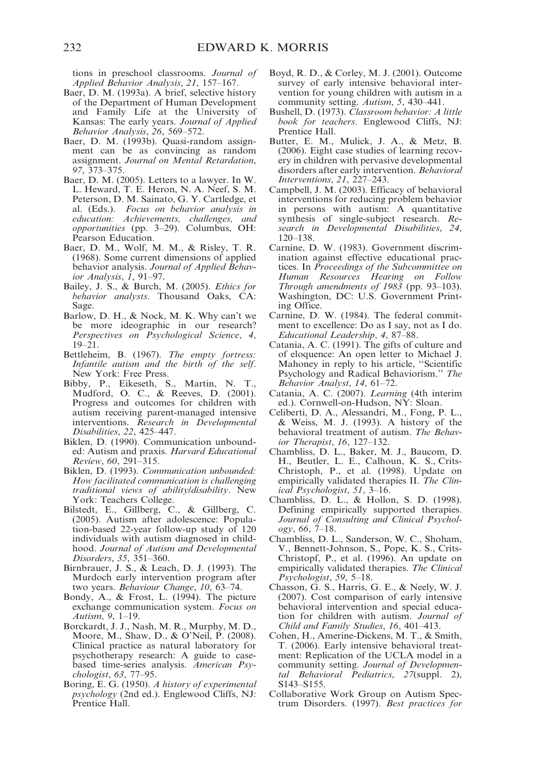tions in preschool classrooms. Journal of Applied Behavior Analysis, 21, 157–167.

- Baer, D. M. (1993a). A brief, selective history of the Department of Human Development and Family Life at the University of Kansas: The early years. Journal of Applied Behavior Analysis, 26, 569–572.
- Baer, D. M. (1993b). Quasi-random assignment can be as convincing as random assignment. Journal on Mental Retardation, 97, 373–375.
- Baer, D. M. (2005). Letters to a lawyer. In W. L. Heward, T. E. Heron, N. A. Neef, S. M. Peterson, D. M. Sainato, G. Y. Cartledge, et al. (Eds.). Focus on behavior analysis in education: Achievements, challenges, and opportunities (pp. 3–29). Columbus, OH: Pearson Education.
- Baer, D. M., Wolf, M. M., & Risley, T. R. (1968). Some current dimensions of applied behavior analysis. Journal of Applied Behavior Analysis, 1, 91–97.
- Bailey, J. S., & Burch, M. (2005). Ethics for behavior analysts. Thousand Oaks, CA: Sage.
- Barlow, D. H., & Nock, M. K. Why can't we be more ideographic in our research? Perspectives on Psychological Science, 4,  $19-21$ .
- Bettleheim, B. (1967). The empty fortress: Infantile autism and the birth of the self. New York: Free Press.
- Bibby, P., Eikeseth, S., Martin, N. T., Mudford, O. C., & Reeves, D. (2001). Progress and outcomes for children with autism receiving parent-managed intensive interventions. Research in Developmental Disabilities, 22, 425–447.
- Biklen, D. (1990). Communication unbounded: Autism and praxis. Harvard Educational Review, 60, 291–315.
- Biklen, D. (1993). Communication unbounded: How facilitated communication is challenging traditional views of ability/disability. New York: Teachers College.
- Bilstedt, E., Gillberg, C., & Gillberg, C. (2005). Autism after adolescence: Population-based 22-year follow-up study of 120 individuals with autism diagnosed in childhood. Journal of Autism and Developmental Disorders, 35, 351–360.
- Birnbrauer, J. S., & Leach, D. J. (1993). The Murdoch early intervention program after two years. Behaviour Change, 10, 63-74.
- Bondy, A., & Frost, L. (1994). The picture exchange communication system. Focus on Autism, 9, 1–19.
- Borckardt, J. J., Nash, M. R., Murphy, M. D., Moore, M., Shaw, D., & O'Neil, P. (2008). Clinical practice as natural laboratory for psychotherapy research: A guide to casebased time-series analysis. American Psychologist, 63, 77–95.
- Boring, E. G. (1950). A history of experimental psychology (2nd ed.). Englewood Cliffs, NJ: Prentice Hall.
- Boyd, R. D., & Corley, M. J. (2001). Outcome survey of early intensive behavioral intervention for young children with autism in a community setting. Autism, 5, 430–441.
- Bushell, D. (1973). Classroom behavior: A little book for teachers. Englewood Cliffs, NJ: Prentice Hall.
- Butter, E. M., Mulick, J. A., & Metz, B. (2006). Eight case studies of learning recovery in children with pervasive developmental disorders after early intervention. Behavioral Interventions, 21, 227–243.
- Campbell, J. M. (2003). Efficacy of behavioral interventions for reducing problem behavior in persons with autism: A quantitative synthesis of single-subject research. Research in Developmental Disabilities, 24, 120–138.
- Carnine, D. W. (1983). Government discrimination against effective educational practices. In Proceedings of the Subcommittee on Human Resources Hearing on Follow Through amendments of 1983 (pp. 93–103). Washington, DC: U.S. Government Printing Office.
- Carnine, D. W. (1984). The federal commitment to excellence: Do as I say, not as I do. Educational Leadership, 4, 87–88.
- Catania, A. C. (1991). The gifts of culture and of eloquence: An open letter to Michael J. Mahoney in reply to his article, ''Scientific Psychology and Radical Behaviorism.'' The Behavior Analyst, 14, 61–72.
- Catania, A. C. (2007). Learning (4th interim ed.). Cornwell-on-Hudson, NY: Sloan.
- Celiberti, D. A., Alessandri, M., Fong, P. L., & Weiss, M. J. (1993). A history of the behavioral treatment of autism. The Behavior Therapist, 16, 127–132.
- Chambliss, D. L., Baker, M. J., Baucom, D. H., Beutler, L. E., Calhoun, K. S., Crits-Christoph, P., et al. (1998). Update on empirically validated therapies II. The Clinical Psychologist, 51, 3–16.
- Chambliss, D. L., & Hollon, S. D. (1998). Defining empirically supported therapies. Journal of Consulting and Clinical Psychol $ogy, 66, 7-18.$
- Chambliss, D. L., Sanderson, W. C., Shoham, V., Bennett-Johnson, S., Pope, K. S., Crits-Christopf, P., et al. (1996). An update on empirically validated therapies. The Clinical Psychologist, 59, 5–18.
- Chasson, G. S., Harris, G. E., & Neely, W. J. (2007). Cost comparison of early intensive behavioral intervention and special education for children with autism. Journal of Child and Family Studies, 16, 401–413.
- Cohen, H., Amerine-Dickens, M. T., & Smith, T. (2006). Early intensive behavioral treatment: Replication of the UCLA model in a community setting. Journal of Developmental Behavioral Pediatrics, 27(suppl. 2), S143–S155.
- Collaborative Work Group on Autism Spectrum Disorders. (1997). Best practices for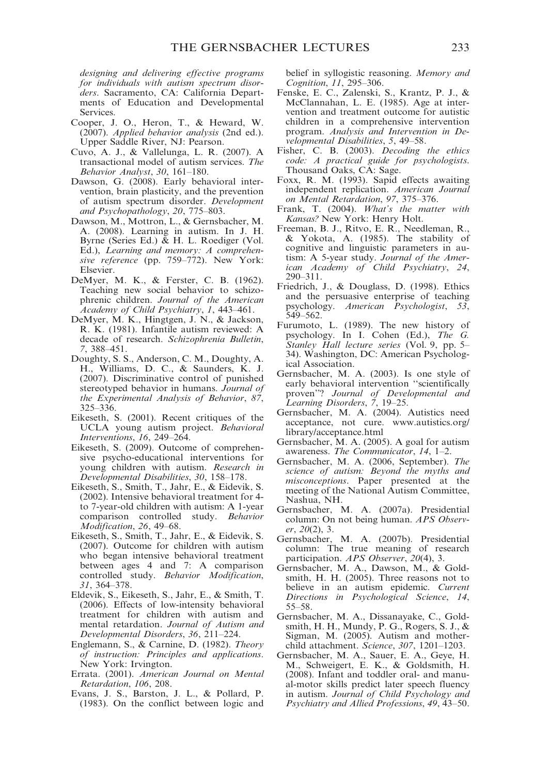designing and delivering effective programs for individuals with autism spectrum disorders. Sacramento, CA: California Departments of Education and Developmental Services.

- Cooper, J. O., Heron, T., & Heward, W. (2007). Applied behavior analysis (2nd ed.). Upper Saddle River, NJ: Pearson.
- Cuvo, A. J., & Vallelunga, L. R. (2007). A transactional model of autism services. The Behavior Analyst, 30, 161–180.
- Dawson, G. (2008). Early behavioral intervention, brain plasticity, and the prevention of autism spectrum disorder. Development and Psychopathology, 20, 775–803.
- Dawson, M., Mottron, L., & Gernsbacher, M. A. (2008). Learning in autism. In J. H. Byrne (Series Ed.) & H. L. Roediger (Vol. Ed.), Learning and memory: A comprehensive reference (pp. 759–772). New York: Elsevier.
- DeMyer, M. K., & Ferster, C. B. (1962). Teaching new social behavior to schizophrenic children. Journal of the American Academy of Child Psychiatry, 1, 443–461.
- DeMyer, M. K., Hingtgen, J. N., & Jackson, R. K. (1981). Infantile autism reviewed: A decade of research. Schizophrenia Bulletin, 7, 388–451.
- Doughty, S. S., Anderson, C. M., Doughty, A. H., Williams, D. C., & Saunders, K. J. (2007). Discriminative control of punished stereotyped behavior in humans. Journal of the Experimental Analysis of Behavior, 87, 325–336.
- Eikeseth, S. (2001). Recent critiques of the UCLA young autism project. Behavioral Interventions, 16, 249–264.
- Eikeseth, S. (2009). Outcome of comprehensive psycho-educational interventions for young children with autism. Research in Developmental Disabilities, 30, 158–178.
- Eikeseth, S., Smith, T., Jahr, E., & Eidevik, S. (2002). Intensive behavioral treatment for 4 to 7-year-old children with autism: A 1-year comparison controlled study. Behavior Modification, 26, 49–68.
- Eikeseth, S., Smith, T., Jahr, E., & Eidevik, S. (2007). Outcome for children with autism who began intensive behavioral treatment between ages 4 and 7: A comparison controlled study. Behavior Modification, 31, 364–378.
- Eldevik, S., Eikeseth, S., Jahr, E., & Smith, T. (2006). Effects of low-intensity behavioral treatment for children with autism and mental retardation. Journal of Autism and Developmental Disorders, 36, 211–224.
- Englemann, S., & Carnine, D. (1982). Theory of instruction: Principles and applications. New York: Irvington.
- Errata. (2001). American Journal on Mental Retardation, 106, 208.
- Evans, J. S., Barston, J. L., & Pollard, P. (1983). On the conflict between logic and

belief in syllogistic reasoning. Memory and Cognition, 11, 295–306.

- Fenske, E. C., Zalenski, S., Krantz, P. J., & McClannahan, L. E. (1985). Age at intervention and treatment outcome for autistic children in a comprehensive intervention program. Analysis and Intervention in Developmental Disabilities, 5, 49–58.
- Fisher, C. B. (2003). Decoding the ethics code: A practical guide for psychologists. Thousand Oaks, CA: Sage.
- Foxx, R. M. (1993). Sapid effects awaiting independent replication. American Journal on Mental Retardation, 97, 375–376.
- Frank, T. (2004). What's the matter with Kansas? New York: Henry Holt.
- Freeman, B. J., Ritvo, E. R., Needleman, R., & Yokota, A. (1985). The stability of cognitive and linguistic parameters in autism: A 5-year study. Journal of the American Academy of Child Psychiatry, 24, 290–311.
- Friedrich, J., & Douglass, D. (1998). Ethics and the persuasive enterprise of teaching psychology. American Psychologist, 53, 549–562.
- Furumoto, L. (1989). The new history of psychology. In I. Cohen (Ed.), The G. Stanley Hall lecture series (Vol. 9, pp. 5– 34). Washington, DC: American Psychological Association.
- Gernsbacher, M. A. (2003). Is one style of early behavioral intervention ''scientifically proven''? Journal of Developmental and Learning Disorders, 7, 19-25.
- Gernsbacher, M. A. (2004). Autistics need acceptance, not cure. www.autistics.org/ library/acceptance.html
- Gernsbacher, M. A. (2005). A goal for autism awareness. The Communicator, 14, 1–2.
- Gernsbacher, M. A. (2006, September). The science of autism: Beyond the myths and misconceptions. Paper presented at the meeting of the National Autism Committee, Nashua, NH.
- Gernsbacher, M. A. (2007a). Presidential column: On not being human. APS Observer,  $20(2)$ , 3.
- Gernsbacher, M. A. (2007b). Presidential column: The true meaning of research participation. APS Observer, 20(4), 3.
- Gernsbacher, M. A., Dawson, M., & Goldsmith, H. H. (2005). Three reasons not to believe in an autism epidemic. Current Directions in Psychological Science, 14, 55–58.
- Gernsbacher, M. A., Dissanayake, C., Goldsmith, H. H., Mundy, P. G., Rogers, S. J., & Sigman, M. (2005). Autism and motherchild attachment. Science, 307, 1201–1203.
- Gernsbacher, M. A., Sauer, E. A., Geye, H. M., Schweigert, E. K., & Goldsmith, H. (2008). Infant and toddler oral- and manual-motor skills predict later speech fluency in autism. Journal of Child Psychology and Psychiatry and Allied Professions, 49, 43–50.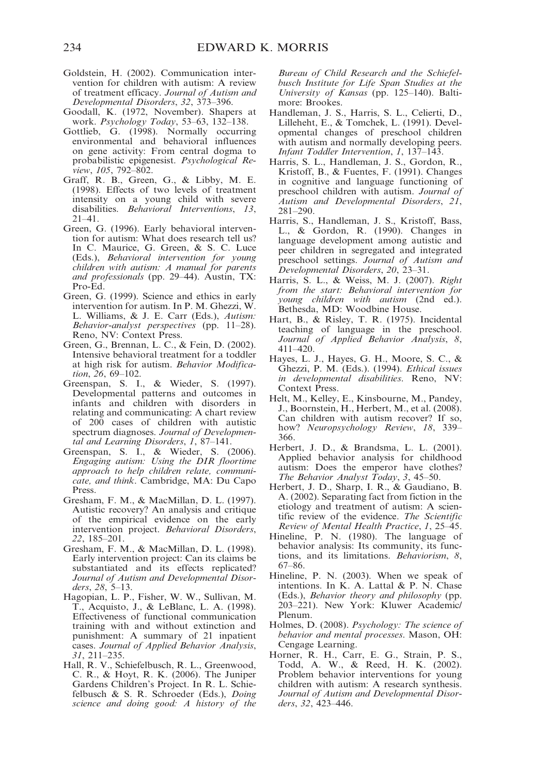- Goldstein, H. (2002). Communication intervention for children with autism: A review of treatment efficacy. Journal of Autism and Developmental Disorders, 32, 373–396.
- Goodall, K. (1972, November). Shapers at work. Psychology Today, 53–63, 132–138.
- Gottlieb, G. (1998). Normally occurring environmental and behavioral influences on gene activity: From central dogma to probabilistic epigenesist. Psychological Review, 105, 792–802.
- Graff, R. B., Green, G., & Libby, M. E. (1998). Effects of two levels of treatment intensity on a young child with severe disabilities. Behavioral Interventions, 13, 21–41.
- Green, G. (1996). Early behavioral intervention for autism: What does research tell us? In C. Maurice, G. Green, & S. C. Luce (Eds.), Behavioral intervention for young children with autism: A manual for parents and professionals (pp. 29-44). Austin, TX: Pro-Ed.
- Green, G. (1999). Science and ethics in early intervention for autism. In P. M. Ghezzi, W. L. Williams, & J. E. Carr (Eds.), Autism: Behavior-analyst perspectives (pp. 11–28). Reno, NV: Context Press.
- Green, G., Brennan, L. C., & Fein, D. (2002). Intensive behavioral treatment for a toddler at high risk for autism. Behavior Modification, 26, 69–102.
- Greenspan, S. I., & Wieder, S. (1997). Developmental patterns and outcomes in infants and children with disorders in relating and communicating: A chart review of 200 cases of children with autistic spectrum diagnoses. Journal of Developmental and Learning Disorders, 1, 87–141.
- Greenspan, S. I., & Wieder, S. (2006). Engaging autism: Using the DIR floortime approach to help children relate, communicate, and think. Cambridge, MA: Du Capo Press.
- Gresham, F. M., & MacMillan, D. L. (1997). Autistic recovery? An analysis and critique of the empirical evidence on the early intervention project. Behavioral Disorders, 22, 185–201.
- Gresham, F. M., & MacMillan, D. L. (1998). Early intervention project: Can its claims be substantiated and its effects replicated? Journal of Autism and Developmental Disorders, 28, 5–13.
- Hagopian, L. P., Fisher, W. W., Sullivan, M. T., Acquisto, J., & LeBlanc, L. A. (1998). Effectiveness of functional communication training with and without extinction and punishment: A summary of 21 inpatient cases. Journal of Applied Behavior Analysis, 31, 211–235.
- Hall, R. V., Schiefelbusch, R. L., Greenwood, C. R., & Hoyt, R. K. (2006). The Juniper Gardens Children's Project. In R. L. Schiefelbusch & S. R. Schroeder (Eds.), Doing science and doing good: A history of the

Bureau of Child Research and the Schiefelbusch Institute for Life Span Studies at the University of Kansas (pp. 125–140). Baltimore: Brookes.

- Handleman, J. S., Harris, S. L., Celierti, D., Lilleheht, E., & Tomchek, L. (1991). Developmental changes of preschool children with autism and normally developing peers. Infant Toddler Intervention, 1, 137–143.
- Harris, S. L., Handleman, J. S., Gordon, R., Kristoff, B., & Fuentes, F. (1991). Changes in cognitive and language functioning of preschool children with autism. Journal of Autism and Developmental Disorders, 21, 281–290.
- Harris, S., Handleman, J. S., Kristoff, Bass, L., & Gordon, R. (1990). Changes in language development among autistic and peer children in segregated and integrated preschool settings. Journal of Autism and Developmental Disorders, 20, 23–31.
- Harris, S. L., & Weiss, M. J. (2007). Right from the start: Behavioral intervention for young children with autism (2nd ed.). Bethesda, MD: Woodbine House.
- Hart, B., & Risley, T. R. (1975). Incidental teaching of language in the preschool. Journal of Applied Behavior Analysis, 8, 411–420.
- Hayes, L. J., Hayes, G. H., Moore, S. C., & Ghezzi, P. M. (Eds.). (1994). Ethical issues in developmental disabilities. Reno, NV: Context Press.
- Helt, M., Kelley, E., Kinsbourne, M., Pandey, J., Boornstein, H., Herbert, M., et al. (2008). Can children with autism recover? If so, how? Neuropsychology Review, 18, 339-366.
- Herbert, J. D., & Brandsma, L. L. (2001). Applied behavior analysis for childhood autism: Does the emperor have clothes? The Behavior Analyst Today, 3, 45–50.
- Herbert, J. D., Sharp, I. R., & Gaudiano, B. A. (2002). Separating fact from fiction in the etiology and treatment of autism: A scientific review of the evidence. The Scientific Review of Mental Health Practice, 1, 25–45.
- Hineline, P. N. (1980). The language of behavior analysis: Its community, its functions, and its limitations. Behaviorism, 8, 67–86.
- Hineline, P. N. (2003). When we speak of intentions. In K. A. Lattal & P. N. Chase (Eds.), Behavior theory and philosophy (pp. 203–221). New York: Kluwer Academic/ Plenum.
- Holmes, D. (2008). Psychology: The science of behavior and mental processes. Mason, OH: Cengage Learning.
- Horner, R. H., Carr, E. G., Strain, P. S., Todd, A. W., & Reed, H. K. (2002). Problem behavior interventions for young children with autism: A research synthesis. Journal of Autism and Developmental Disorders, 32, 423–446.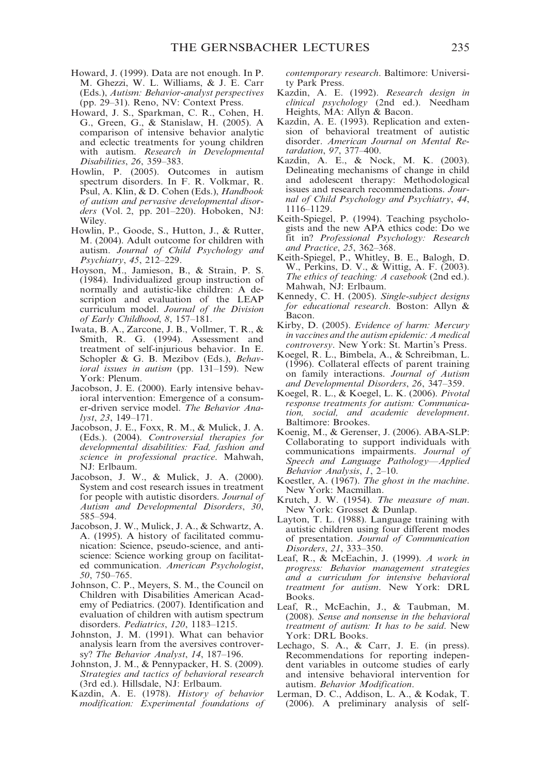- Howard, J. (1999). Data are not enough. In P. M. Ghezzi, W. L. Williams, & J. E. Carr (Eds.), Autism: Behavior-analyst perspectives (pp. 29–31). Reno, NV: Context Press.
- Howard, J. S., Sparkman, C. R., Cohen, H. G., Green, G., & Stanislaw, H. (2005). A comparison of intensive behavior analytic and eclectic treatments for young children with autism. Research in Developmental Disabilities, 26, 359–383.
- Howlin, P. (2005). Outcomes in autism spectrum disorders. In F. R. Volkmar, R. Psul, A. Klin, & D. Cohen (Eds.), Handbook of autism and pervasive developmental disorders (Vol. 2, pp. 201–220). Hoboken, NJ: Wiley.
- Howlin, P., Goode, S., Hutton, J., & Rutter, M. (2004). Adult outcome for children with autism. Journal of Child Psychology and Psychiatry, 45, 212–229.
- Hoyson, M., Jamieson, B., & Strain, P. S. (1984). Individualized group instruction of normally and autistic-like children: A description and evaluation of the LEAP curriculum model. Journal of the Division of Early Childhood, 8, 157–181.
- Iwata, B. A., Zarcone, J. B., Vollmer, T. R., & Smith, R. G. (1994). Assessment and treatment of self-injurious behavior. In E. Schopler & G. B. Mezibov (Eds.), Behavioral issues in autism (pp. 131-159). New York: Plenum.
- Jacobson, J. E. (2000). Early intensive behavioral intervention: Emergence of a consumer-driven service model. The Behavior Analyst, 23, 149–171.
- Jacobson, J. E., Foxx, R. M., & Mulick, J. A. (Eds.). (2004). Controversial therapies for developmental disabilities: Fad, fashion and science in professional practice. Mahwah, NJ: Erlbaum.
- Jacobson, J. W., & Mulick, J. A. (2000). System and cost research issues in treatment for people with autistic disorders. Journal of Autism and Developmental Disorders, 30, 585–594.
- Jacobson, J. W., Mulick, J. A., & Schwartz, A. A. (1995). A history of facilitated communication: Science, pseudo-science, and antiscience: Science working group on facilitated communication. American Psychologist, 50, 750–765.
- Johnson, C. P., Meyers, S. M., the Council on Children with Disabilities American Academy of Pediatrics. (2007). Identification and evaluation of children with autism spectrum disorders. Pediatrics, 120, 1183–1215.
- Johnston, J. M. (1991). What can behavior analysis learn from the aversives controversy? The Behavior Analyst, 14, 187–196.
- Johnston, J. M., & Pennypacker, H. S. (2009). Strategies and tactics of behavioral research (3rd ed.). Hillsdale, NJ: Erlbaum.
- Kazdin, A. E. (1978). History of behavior modification: Experimental foundations of

contemporary research. Baltimore: University Park Press.

- Kazdin, A. E. (1992). Research design in clinical psychology (2nd ed.). Needham Heights, MA: Allyn & Bacon.
- Kazdin, A. E. (1993). Replication and extension of behavioral treatment of autistic disorder. American Journal on Mental Retardation, 97, 377–400.
- Kazdin, A. E., & Nock, M. K. (2003). Delineating mechanisms of change in child and adolescent therapy: Methodological issues and research recommendations. Journal of Child Psychology and Psychiatry, 44, 1116–1129.
- Keith-Spiegel, P. (1994). Teaching psychologists and the new APA ethics code: Do we fit in? Professional Psychology: Research and Practice, 25, 362–368.
- Keith-Spiegel, P., Whitley, B. E., Balogh, D. W., Perkins, D. V., & Wittig, A. F. (2003). The ethics of teaching: A casebook (2nd ed.). Mahwah, NJ: Erlbaum.
- Kennedy, C. H. (2005). Single-subject designs for educational research. Boston: Allyn & Bacon.
- Kirby, D. (2005). Evidence of harm: Mercury in vaccines and the autism epidemic: A medical controversy. New York: St. Martin's Press.
- Koegel, R. L., Bimbela, A., & Schreibman, L. (1996). Collateral effects of parent training on family interactions. Journal of Autism and Developmental Disorders, 26, 347–359.
- Koegel, R. L., & Koegel, L. K. (2006). Pivotal response treatments for autism: Communication, social, and academic development. Baltimore: Brookes.
- Koenig, M., & Gerenser, J. (2006). ABA-SLP: Collaborating to support individuals with communications impairments. Journal of Speech and Language Pathology—Applied Behavior Analysis, 1, 2-10.
- Koestler, A. (1967). The ghost in the machine. New York: Macmillan.
- Krutch, J. W. (1954). The measure of man. New York: Grosset & Dunlap.
- Layton, T. L. (1988). Language training with autistic children using four different modes of presentation. Journal of Communication Disorders, 21, 333–350.
- Leaf, R., & McEachin, J. (1999). A work in progress: Behavior management strategies and a curriculum for intensive behavioral treatment for autism. New York: DRL Books.
- Leaf, R., McEachin, J., & Taubman, M. (2008). Sense and nonsense in the behavioral treatment of autism: It has to be said. New York: DRL Books.
- Lechago, S. A., & Carr, J. E. (in press). Recommendations for reporting independent variables in outcome studies of early and intensive behavioral intervention for autism. Behavior Modification.
- Lerman, D. C., Addison, L. A., & Kodak, T. (2006). A preliminary analysis of self-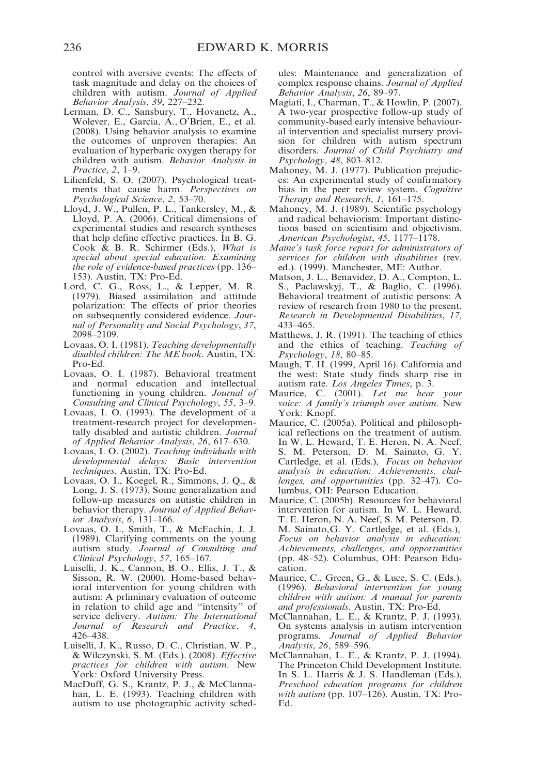control with aversive events: The effects of task magnitude and delay on the choices of children with autism. Journal of Applied Behavior Analysis, 39, 227–232.

- Lerman, D. C., Sansbury, T., Hovanetz, A., Wolever, E., Garcia, A., O'Brien, E., et al. (2008). Using behavior analysis to examine the outcomes of unproven therapies: An evaluation of hyperbaric oxygen therapy for children with autism. Behavior Analysis in Practice, 2, 1–9.
- Lilienfeld, S. O. (2007). Psychological treatments that cause harm. Perspectives on Psychological Science, 2, 53–70.
- Lloyd, J. W., Pullen, P. L., Tankersley, M., & Lloyd, P. A. (2006). Critical dimensions of experimental studies and research syntheses that help define effective practices. In B. G. Cook & B. R. Schirmer (Eds.), What is special about special education: Examining the role of evidence-based practices (pp. 136– 153). Austin, TX: Pro-Ed.
- Lord, C. G., Ross, L., & Lepper, M. R. (1979). Biased assimilation and attitude polarization: The effects of prior theories on subsequently considered evidence. Journal of Personality and Social Psychology, 37, 2098–2109.
- Lovaas, O. I. (1981). Teaching developmentally disabled children: The ME book. Austin, TX: Pro-Ed.
- Lovaas, O. I. (1987). Behavioral treatment and normal education and intellectual functioning in young children. Journal of Consulting and Clinical Psychology, 55, 3–9.
- Lovaas, I. O. (1993). The development of a treatment-research project for developmentally disabled and autistic children. Journal of Applied Behavior Analysis, 26, 617–630.
- Lovaas, I. O. (2002). Teaching individuals with developmental delays: Basic intervention techniques. Austin, TX: Pro-Ed.
- Lovaas, O. I., Koegel, R., Simmons, J. Q., & Long, J. S. (1973). Some generalization and follow-up measures on autistic children in behavior therapy. Journal of Applied Behavior Analysis, 6, 131–166.
- Lovaas, O. I., Smith, T., & McEachin, J. J. (1989). Clarifying comments on the young autism study. Journal of Consulting and Clinical Psychology, 57, 165–167.
- Luiselli, J. K., Cannon, B. O., Ellis, J. T., & Sisson, R. W. (2000). Home-based behavioral intervention for young children with autism: A prliminary evaluation of outcome in relation to child age and ''intensity'' of service delivery. Autism: The International Journal of Research and Practice, 4, 426–438.
- Luiselli, J. K., Russo, D. C., Christian, W. P., & Wilczynski, S. M. (Eds.). (2008). Effective practices for children with autism. New York: Oxford University Press.
- MacDuff, G. S., Krantz, P. J., & McClannahan, L. E. (1993). Teaching children with autism to use photographic activity sched-

ules: Maintenance and generalization of complex response chains. Journal of Applied Behavior Analysis, 26, 89–97.

- Magiati, I., Charman, T., & Howlin, P. (2007). A two-year prospective follow-up study of community-based early intensive behavioural intervention and specialist nursery provision for children with autism spectrum disorders. Journal of Child Psychiatry and Psychology, 48, 803–812.
- Mahoney, M. J. (1977). Publication prejudices: An experimental study of confirmatory bias in the peer review system. Cognitive Therapy and Research, 1, 161–175.
- Mahoney, M. J. (1989). Scientific psychology and radical behaviorism: Important distinctions based on scientisim and objectivism. American Psychologist, 45, 1177–1178.
- Maine's task force report for administrators of services for children with disabilities (rev. ed.). (1999). Manchester, ME: Author.
- Matson, J. L., Benavidez, D. A., Compton, L. S., Paclawskyj, T., & Baglio, C. (1996). Behavioral treatment of autistic persons: A review of research from 1980 to the present. Research in Developmental Disabilities, 17, 433–465.
- Matthews, J. R. (1991). The teaching of ethics and the ethics of teaching. Teaching of Psychology, 18, 80–85.
- Maugh, T. H. (1999, April 16). California and the west: State study finds sharp rise in autism rate. Los Angeles Times, p. 3.
- Maurice, C. (2001). Let me hear your voice: A family's triumph over autism. New York: Knopf.
- Maurice, C. (2005a). Political and philosophical reflections on the treatment of autism. In W. L. Heward, T. E. Heron, N. A. Neef, S. M. Peterson, D. M. Sainato, G. Y. Cartledge, et al. (Eds.), Focus on behavior analysis in education: Achievements, challenges, and opportunities (pp. 32–47). Columbus, OH: Pearson Education.
- Maurice, C. (2005b). Resources for behavioral intervention for autism. In W. L. Heward, T. E. Heron, N. A. Neef, S. M. Peterson, D. M. Sainato,G. Y. Cartledge, et al. (Eds.), Focus on behavior analysis in education: Achievements, challenges, and opportunities (pp. 48–52). Columbus, OH: Pearson Education.
- Maurice, C., Green, G., & Luce, S. C. (Eds.). (1996). Behavioral intervention for young children with autism: A manual for parents and professionals. Austin, TX: Pro-Ed.
- McClannahan, L. E., & Krantz, P. J. (1993). On systems analysis in autism intervention programs. Journal of Applied Behavior Analysis, 26, 589–596.
- McClannahan, L. E., & Krantz, P. J. (1994). The Princeton Child Development Institute. In S. L. Harris & J. S. Handleman (Eds.), Preschool education programs for children with autism (pp. 107-126). Austin, TX: Pro-Ed.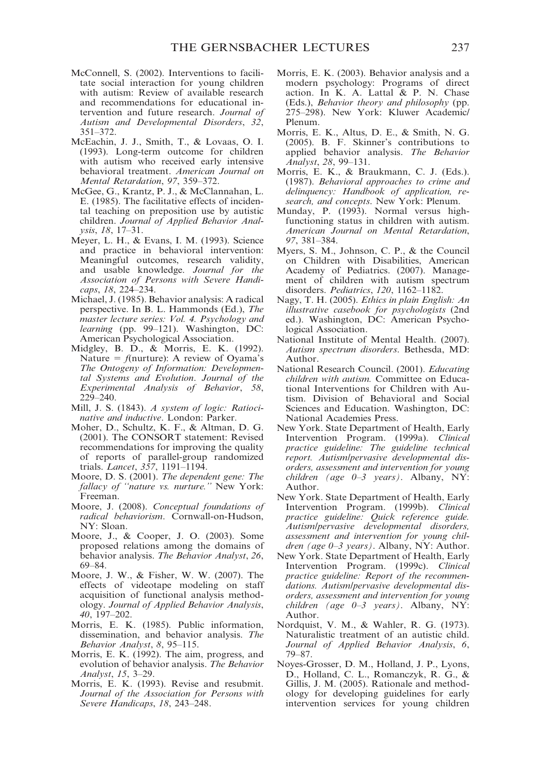- McConnell, S. (2002). Interventions to facilitate social interaction for young children with autism: Review of available research and recommendations for educational intervention and future research. Journal of Autism and Developmental Disorders, 32, 351–372.
- McEachin, J. J., Smith, T., & Lovaas, O. I. (1993). Long-term outcome for children with autism who received early intensive behavioral treatment. American Journal on Mental Retardation, 97, 359–372.
- McGee, G., Krantz, P. J., & McClannahan, L. E. (1985). The facilitative effects of incidental teaching on preposition use by autistic children. Journal of Applied Behavior Analysis, 18, 17–31.
- Meyer, L. H., & Evans, I. M. (1993). Science and practice in behavioral intervention: Meaningful outcomes, research validity, and usable knowledge. Journal for the Association of Persons with Severe Handicaps, 18, 224–234.
- Michael, J. (1985). Behavior analysis: A radical perspective. In B. L. Hammonds (Ed.), The master lecture series: Vol. 4. Psychology and learning (pp. 99-121). Washington, DC: American Psychological Association.
- Midgley, B. D., & Morris, E. K. (1992). Nature =  $f$ (nurture): A review of Oyama's The Ontogeny of Information: Developmental Systems and Evolution. Journal of the Experimental Analysis of Behavior, 58,  $229 - 240$ .
- Mill, J. S. (1843). A system of logic: Ratiocinative and inductive. London: Parker.
- Moher, D., Schultz, K. F., & Altman, D. G. (2001). The CONSORT statement: Revised recommendations for improving the quality of reports of parallel-group randomized trials. Lancet, 357, 1191–1194.
- Moore, D. S. (2001). The dependent gene: The fallacy of "nature vs. nurture." New York: Freeman.
- Moore, J. (2008). Conceptual foundations of radical behaviorism. Cornwall-on-Hudson, NY: Sloan.
- Moore, J., & Cooper, J. O. (2003). Some proposed relations among the domains of behavior analysis. The Behavior Analyst, 26, 69–84.
- Moore, J. W., & Fisher, W. W. (2007). The effects of videotape modeling on staff acquisition of functional analysis methodology. Journal of Applied Behavior Analysis, 40, 197–202.
- Morris, E. K. (1985). Public information, dissemination, and behavior analysis. The Behavior Analyst, 8, 95–115.
- Morris, E. K. (1992). The aim, progress, and evolution of behavior analysis. The Behavior Analyst, 15, 3–29.
- Morris, E. K. (1993). Revise and resubmit. Journal of the Association for Persons with Severe Handicaps, 18, 243–248.
- Morris, E. K. (2003). Behavior analysis and a modern psychology: Programs of direct action. In K. A. Lattal & P. N. Chase (Eds.), Behavior theory and philosophy (pp. 275–298). New York: Kluwer Academic/ Plenum.
- Morris, E. K., Altus, D. E., & Smith, N. G. (2005). B. F. Skinner's contributions to applied behavior analysis. The Behavior Analyst, 28, 99–131.
- Morris, E. K., & Braukmann, C. J. (Eds.). (1987). Behavioral approaches to crime and delinquency: Handbook of application, research, and concepts. New York: Plenum.
- Munday, P. (1993). Normal versus highfunctioning status in children with autism. American Journal on Mental Retardation, 97, 381–384.
- Myers, S. M., Johnson, C. P., & the Council on Children with Disabilities, American Academy of Pediatrics. (2007). Management of children with autism spectrum disorders. Pediatrics, 120, 1162–1182.
- Nagy, T. H. (2005). Ethics in plain English: An illustrative casebook for psychologists (2nd ed.). Washington, DC: American Psychological Association.
- National Institute of Mental Health. (2007). Autism spectrum disorders. Bethesda, MD: Author.
- National Research Council. (2001). Educating children with autism. Committee on Educational Interventions for Children with Autism. Division of Behavioral and Social Sciences and Education. Washington, DC: National Academies Press.
- New York. State Department of Health, Early Intervention Program. (1999a). Clinical practice guideline: The guideline technical report. Autism/pervasive developmental disorders, assessment and intervention for young children (age  $0-3$  years). Albany, NY: Author.
- New York. State Department of Health, Early Intervention Program. (1999b). Clinical practice guideline: Quick reference guide. Autism/pervasive developmental disorders, assessment and intervention for young children (age 0-3 years). Albany, NY: Author.
- New York. State Department of Health, Early Intervention Program. (1999c). Clinical practice guideline: Report of the recommendations. Autism/pervasive developmental disorders, assessment and intervention for young children (age  $0-3$  years). Albany, NY: Author.
- Nordquist, V. M., & Wahler, R. G. (1973). Naturalistic treatment of an autistic child. Journal of Applied Behavior Analysis, 6, 79–87.
- Noyes-Grosser, D. M., Holland, J. P., Lyons, D., Holland, C. L., Romanczyk, R. G., & Gillis, J. M. (2005). Rationale and methodology for developing guidelines for early intervention services for young children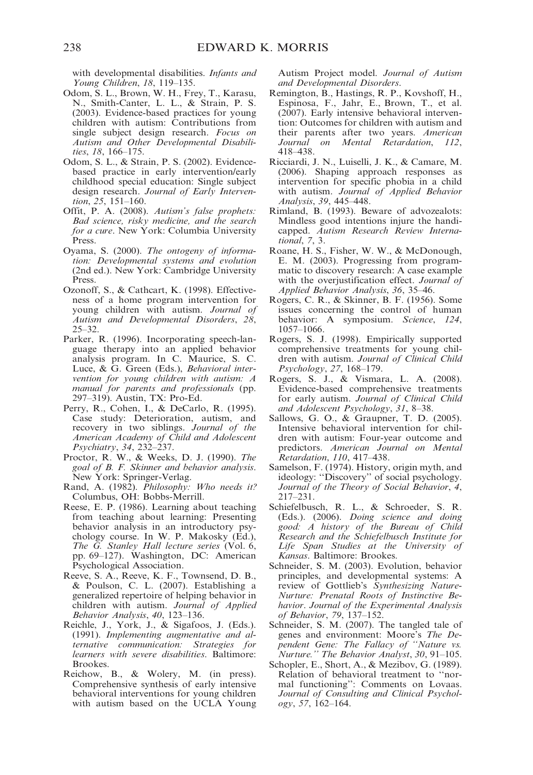with developmental disabilities. *Infants and* Young Children, 18, 119–135.

- Odom, S. L., Brown, W. H., Frey, T., Karasu, N., Smith-Canter, L. L., & Strain, P. S. (2003). Evidence-based practices for young children with autism: Contributions from single subject design research. Focus on Autism and Other Developmental Disabilities, 18, 166–175.
- Odom, S. L., & Strain, P. S. (2002). Evidencebased practice in early intervention/early childhood special education: Single subject design research. Journal of Early Intervention, 25, 151–160.
- Offit, P. A. (2008). Autism's false prophets: Bad science, risky medicine, and the search for a cure. New York: Columbia University Press.
- Oyama, S. (2000). The ontogeny of information: Developmental systems and evolution (2nd ed.). New York: Cambridge University Press.
- Ozonoff, S., & Cathcart, K. (1998). Effectiveness of a home program intervention for young children with autism. Journal of Autism and Developmental Disorders, 28, 25–32.
- Parker, R. (1996). Incorporating speech-language therapy into an applied behavior analysis program. In C. Maurice, S. C. Luce, & G. Green (Eds.), Behavioral intervention for young children with autism: A manual for parents and professionals (pp. 297–319). Austin, TX: Pro-Ed.
- Perry, R., Cohen, I., & DeCarlo, R. (1995). Case study: Deterioration, autism, and recovery in two siblings. Journal of the American Academy of Child and Adolescent Psychiatry, 34, 232-237.
- Proctor, R. W., & Weeks, D. J. (1990). The goal of B. F. Skinner and behavior analysis. New York: Springer-Verlag.
- Rand, A. (1982). Philosophy: Who needs it? Columbus, OH: Bobbs-Merrill.
- Reese, E. P. (1986). Learning about teaching from teaching about learning: Presenting behavior analysis in an introductory psychology course. In W. P. Makosky (Ed.), The G. Stanley Hall lecture series (Vol. 6, pp. 69–127). Washington, DC: American Psychological Association.
- Reeve, S. A., Reeve, K. F., Townsend, D. B., & Poulson, C. L. (2007). Establishing a generalized repertoire of helping behavior in children with autism. Journal of Applied Behavior Analysis, 40, 123–136.
- Reichle, J., York, J., & Sigafoos, J. (Eds.). (1991). Implementing augmentative and alternative communication: Strategies for learners with severe disabilities. Baltimore: Brookes.
- Reichow, B., & Wolery, M. (in press). Comprehensive synthesis of early intensive behavioral interventions for young children with autism based on the UCLA Young

Autism Project model. Journal of Autism and Developmental Disorders.

- Remington, B., Hastings, R. P., Kovshoff, H., Espinosa, F., Jahr, E., Brown, T., et al. (2007). Early intensive behavioral intervention: Outcomes for children with autism and their parents after two years. American Journal on Mental Retardation, 112, 418–438.
- Ricciardi, J. N., Luiselli, J. K., & Camare, M. (2006). Shaping approach responses as intervention for specific phobia in a child with autism. Journal of Applied Behavior Analysis, 39, 445–448.
- Rimland, B. (1993). Beware of advozealots: Mindless good intentions injure the handicapped. Autism Research Review International, 7, 3.
- Roane, H. S., Fisher, W. W., & McDonough, E. M. (2003). Progressing from programmatic to discovery research: A case example with the overjustification effect. Journal of Applied Behavior Analysis, 36, 35–46.
- Rogers, C. R., & Skinner, B. F. (1956). Some issues concerning the control of human behavior: A symposium. Science, 124, 1057–1066.
- Rogers, S. J. (1998). Empirically supported comprehensive treatments for young children with autism. Journal of Clinical Child Psychology, 27, 168–179.
- Rogers, S. J., & Vismara, L. A. (2008). Evidence-based comprehensive treatments for early autism. Journal of Clinical Child and Adolescent Psychology, 31, 8–38.
- Sallows, G. O., & Graupner, T. D. (2005). Intensive behavioral intervention for children with autism: Four-year outcome and predictors. American Journal on Mental Retardation, 110, 417–438.
- Samelson, F. (1974). History, origin myth, and ideology: ''Discovery'' of social psychology. Journal of the Theory of Social Behavior, 4, 217–231.
- Schiefelbusch, R. L., & Schroeder, S. R. (Eds.). (2006). Doing science and doing good: A history of the Bureau of Child Research and the Schiefelbusch Institute for Life Span Studies at the University of Kansas. Baltimore: Brookes.
- Schneider, S. M. (2003). Evolution, behavior principles, and developmental systems: A review of Gottlieb's Synthesizing Nature-Nurture: Prenatal Roots of Instinctive Behavior. Journal of the Experimental Analysis of Behavior, 79, 137–152.
- Schneider, S. M. (2007). The tangled tale of genes and environment: Moore's The Dependent Gene: The Fallacy of ''Nature vs. Nurture.'' The Behavior Analyst, 30, 91–105.
- Schopler, E., Short, A., & Mezibov, G. (1989). Relation of behavioral treatment to ''normal functioning'': Comments on Lovaas. Journal of Consulting and Clinical Psychology, 57, 162–164.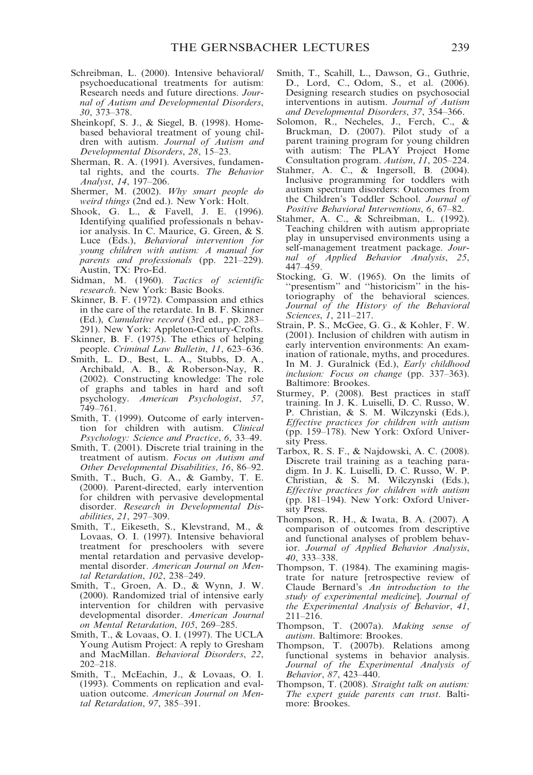- Schreibman, L. (2000). Intensive behavioral/ psychoeducational treatments for autism: Research needs and future directions. Journal of Autism and Developmental Disorders, 30, 373–378.
- Sheinkopf, S. J., & Siegel, B. (1998). Homebased behavioral treatment of young children with autism. Journal of Autism and Developmental Disorders, 28, 15–23.
- Sherman, R. A. (1991). Aversives, fundamental rights, and the courts. The Behavior Analyst, 14, 197–206.
- Shermer, M. (2002). Why smart people do weird things (2nd ed.). New York: Holt.
- Shook, G. L., & Favell, J. E. (1996). Identifying qualified professionals n behavior analysis. In C. Maurice, G. Green, & S. Luce (Eds.), Behavioral intervention for young children with autism: A manual for parents and professionals (pp. 221–229). Austin, TX: Pro-Ed.
- Sidman, M. (1960). Tactics of scientific research. New York: Basic Books.
- Skinner, B. F. (1972). Compassion and ethics in the care of the retardate. In B. F. Skinner (Ed.), Cumulative record (3rd ed., pp. 283– 291). New York: Appleton-Century-Crofts.
- Skinner, B. F. (1975). The ethics of helping people. Criminal Law Bulletin, 11, 623–636.
- Smith, L. D., Best, L. A., Stubbs, D. A., Archibald, A. B., & Roberson-Nay, R. (2002). Constructing knowledge: The role of graphs and tables in hard and soft psychology. American Psychologist, 57, 749–761.
- Smith, T. (1999). Outcome of early intervention for children with autism. Clinical Psychology: Science and Practice, 6, 33–49.
- Smith, T. (2001). Discrete trial training in the treatment of autism. Focus on Autism and Other Developmental Disabilities, 16, 86–92.
- Smith, T., Buch, G. A., & Gamby, T. E. (2000). Parent-directed, early intervention for children with pervasive developmental disorder. Research in Developmental Disabilities, 21, 297–309.
- Smith, T., Eikeseth, S., Klevstrand, M., & Lovaas, O. I. (1997). Intensive behavioral treatment for preschoolers with severe mental retardation and pervasive developmental disorder. American Journal on Mental Retardation, 102, 238–249.
- Smith, T., Groen, A. D., & Wynn, J. W. (2000). Randomized trial of intensive early intervention for children with pervasive developmental disorder. American Journal on Mental Retardation, 105, 269–285.
- Smith, T., & Lovaas, O. I. (1997). The UCLA Young Autism Project: A reply to Gresham and MacMillan. Behavioral Disorders, 22, 202–218.
- Smith, T., McEachin, J., & Lovaas, O. I. (1993). Comments on replication and evaluation outcome. American Journal on Mental Retardation, 97, 385–391.
- Smith, T., Scahill, L., Dawson, G., Guthrie, D., Lord, C., Odom, S., et al. (2006). Designing research studies on psychosocial interventions in autism. Journal of Autism and Developmental Disorders, 37, 354–366.
- Solomon, R., Necheles, J., Ferch, C., & Bruckman, D. (2007). Pilot study of a parent training program for young children with autism: The PLAY Project Home Consultation program. Autism, 11, 205–224.
- Stahmer, A. C., & Ingersoll, B. (2004). Inclusive programming for toddlers with autism spectrum disorders: Outcomes from the Children's Toddler School. Journal of Positive Behavioral Interventions, 6, 67–82.
- Stahmer, A. C., & Schreibman, L. (1992). Teaching children with autism appropriate play in unsupervised environments using a self-management treatment package. Journal of Applied Behavior Analysis, 25, 447–459.
- Stocking, G. W. (1965). On the limits of ''presentism'' and ''historicism'' in the historiography of the behavioral sciences. Journal of the History of the Behavioral Sciences, 1, 211–217.
- Strain, P. S., McGee, G. G., & Kohler, F. W. (2001). Inclusion of children with autism in early intervention environments: An examination of rationale, myths, and procedures. In M. J. Guralnick (Ed.), Early childhood inclusion: Focus on change (pp. 337–363). Baltimore: Brookes.
- Sturmey, P. (2008). Best practices in staff training. In J. K. Luiselli, D. C. Russo, W. P. Christian, & S. M. Wilczynski (Eds.), Effective practices for children with autism (pp. 159–178). New York: Oxford University Press.
- Tarbox, R. S. F., & Najdowski, A. C. (2008). Discrete trail training as a teaching paradigm. In J. K. Luiselli, D. C. Russo, W. P. Christian, & S. M. Wilczynski (Eds.), Effective practices for children with autism (pp. 181–194). New York: Oxford University Press.
- Thompson, R. H., & Iwata, B. A. (2007). A comparison of outcomes from descriptive and functional analyses of problem behavior. Journal of Applied Behavior Analysis, 40, 333–338.
- Thompson, T. (1984). The examining magistrate for nature [retrospective review of Claude Bernard's An introduction to the study of experimental medicine]. Journal of the Experimental Analysis of Behavior, 41, 211–216.
- Thompson, T. (2007a). Making sense of autism. Baltimore: Brookes.
- Thompson, T. (2007b). Relations among functional systems in behavior analysis. Journal of the Experimental Analysis of Behavior, 87, 423–440.
- Thompson, T. (2008). Straight talk on autism: The expert guide parents can trust. Baltimore: Brookes.